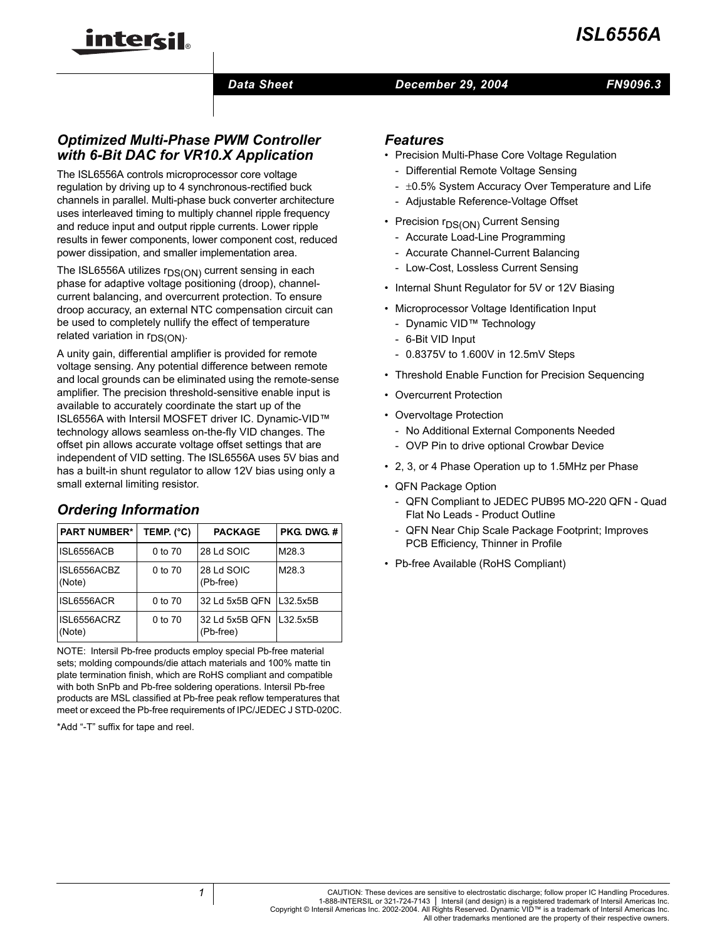

#### *Data Sheet December 29, 2004*

## *FN9096.3*

# *Optimized Multi-Phase PWM Controller with 6-Bit DAC for VR10.X Application*

inter<del>c</del>il.

The ISL6556A controls microprocessor core voltage regulation by driving up to 4 synchronous-rectified buck channels in parallel. Multi-phase buck converter architecture uses interleaved timing to multiply channel ripple frequency and reduce input and output ripple currents. Lower ripple results in fewer components, lower component cost, reduced power dissipation, and smaller implementation area.

The ISL6556A utilizes  $r_{DS(ON)}$  current sensing in each phase for adaptive voltage positioning (droop), channelcurrent balancing, and overcurrent protection. To ensure droop accuracy, an external NTC compensation circuit can be used to completely nullify the effect of temperature related variation in r<sub>DS(ON)</sub>.

A unity gain, differential amplifier is provided for remote voltage sensing. Any potential difference between remote and local grounds can be eliminated using the remote-sense amplifier. The precision threshold-sensitive enable input is available to accurately coordinate the start up of the ISL6556A with Intersil MOSFET driver IC. Dynamic-VID™ technology allows seamless on-the-fly VID changes. The offset pin allows accurate voltage offset settings that are independent of VID setting. The ISL6556A uses 5V bias and has a built-in shunt regulator to allow 12V bias using only a small external limiting resistor.

# *Ordering Information*

| <b>PART NUMBER*</b>   | TEMP. $(^{\circ}C)$ | <b>PACKAGE</b>              | PKG. DWG. # |
|-----------------------|---------------------|-----------------------------|-------------|
| ISL6556ACB            | 0 to 70             | 28 Ld SOIC                  | M28.3       |
| ISL6556ACBZ<br>(Note) | 0 to 70             | 28 Ld SOIC<br>(Pb-free)     | M28.3       |
| ISL6556ACR            | 0 to 70             | 32 Ld 5x5B QFN              | L32.5x5B    |
| ISL6556ACRZ<br>(Note) | 0 to 70             | 32 Ld 5x5B QFN<br>(Pb-free) | L32.5x5B    |

NOTE: Intersil Pb-free products employ special Pb-free material sets; molding compounds/die attach materials and 100% matte tin plate termination finish, which are RoHS compliant and compatible with both SnPb and Pb-free soldering operations. Intersil Pb-free products are MSL classified at Pb-free peak reflow temperatures that meet or exceed the Pb-free requirements of IPC/JEDEC J STD-020C.

\*Add "-T" suffix for tape and reel.

#### *Features*

- Precision Multi-Phase Core Voltage Regulation
	- Differential Remote Voltage Sensing
	- ±0.5% System Accuracy Over Temperature and Life
	- Adjustable Reference-Voltage Offset
- Precision r<sub>DS(ON)</sub> Current Sensing
	- Accurate Load-Line Programming
	- Accurate Channel-Current Balancing
	- Low-Cost, Lossless Current Sensing
- Internal Shunt Regulator for 5V or 12V Biasing
- Microprocessor Voltage Identification Input
	- Dynamic VID™ Technology
	- 6-Bit VID Input
	- 0.8375V to 1.600V in 12.5mV Steps
- Threshold Enable Function for Precision Sequencing
- Overcurrent Protection
- Overvoltage Protection
	- No Additional External Components Needed
	- OVP Pin to drive optional Crowbar Device
- 2, 3, or 4 Phase Operation up to 1.5MHz per Phase
- QFN Package Option
	- QFN Compliant to JEDEC PUB95 MO-220 QFN Quad Flat No Leads - Product Outline
	- QFN Near Chip Scale Package Footprint; Improves PCB Efficiency, Thinner in Profile
- Pb-free Available (RoHS Compliant)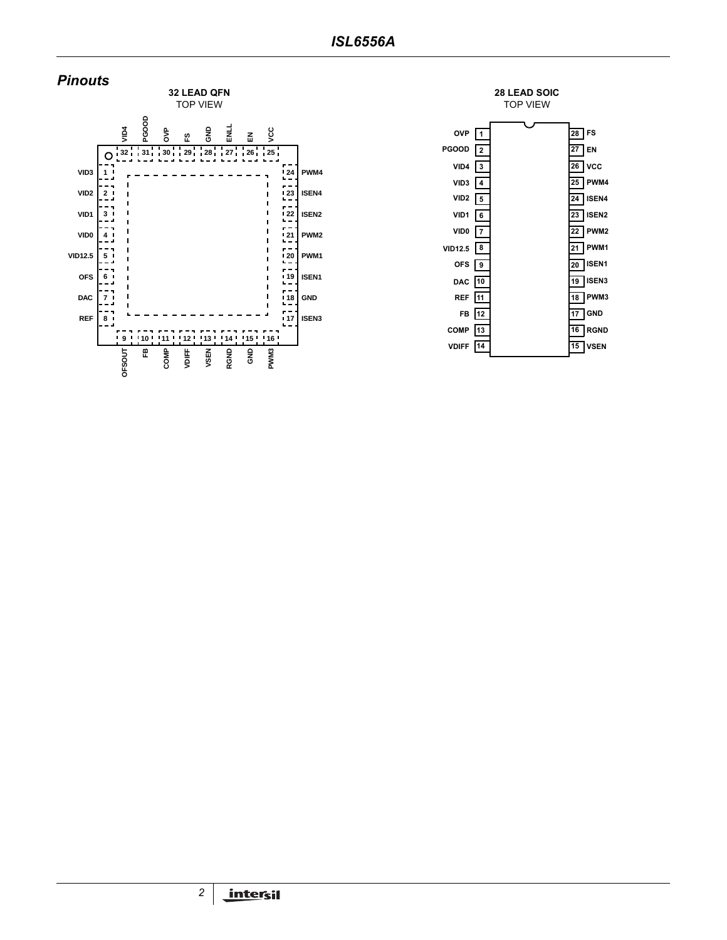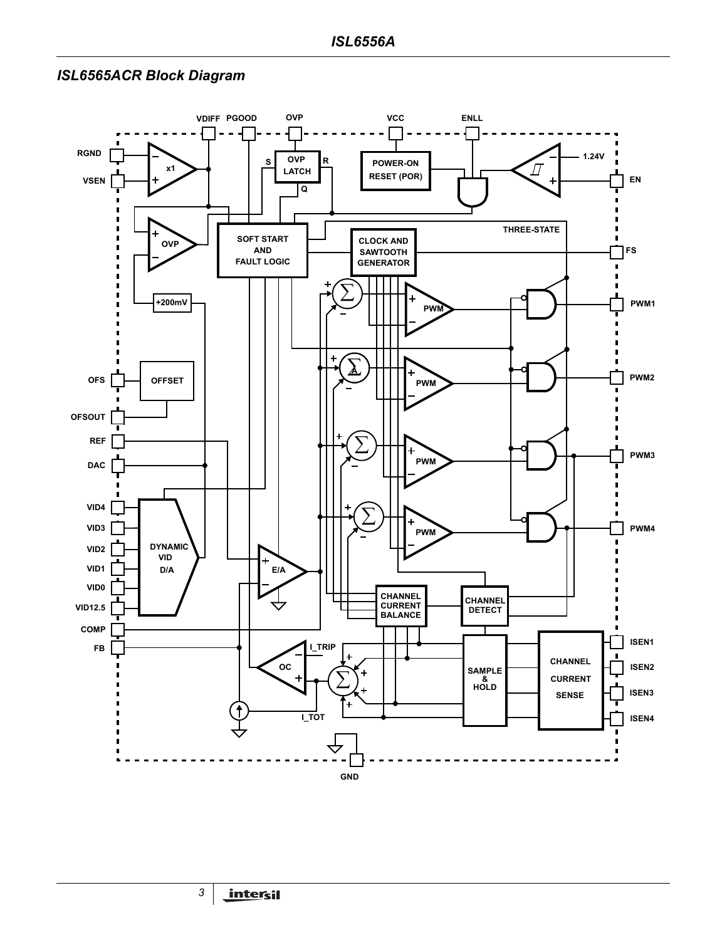# *ISL6565ACR Block Diagram*

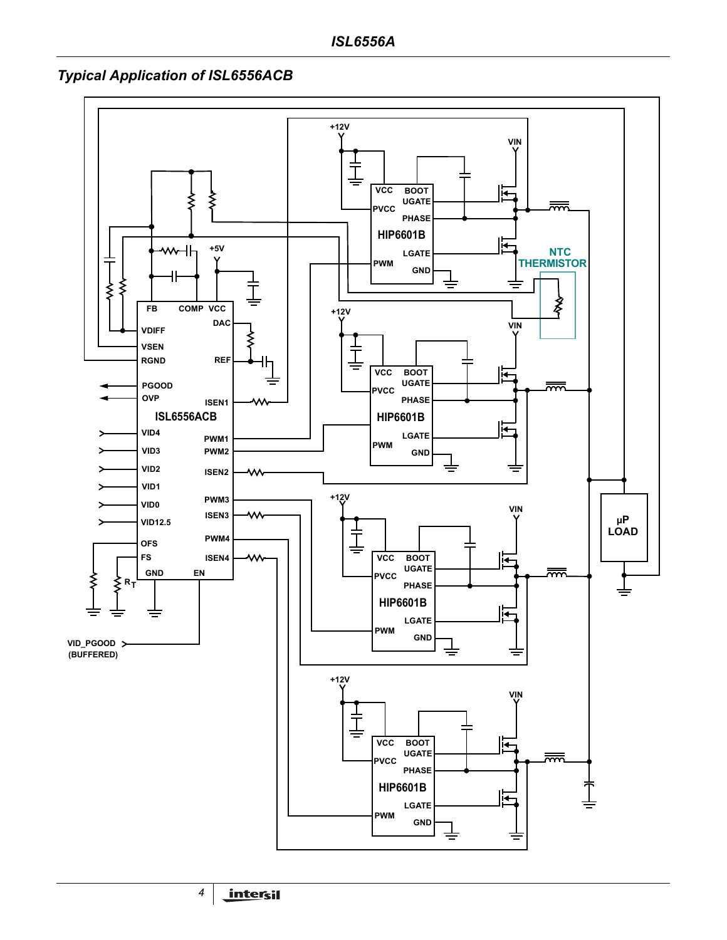*Typical Application of ISL6556ACB*

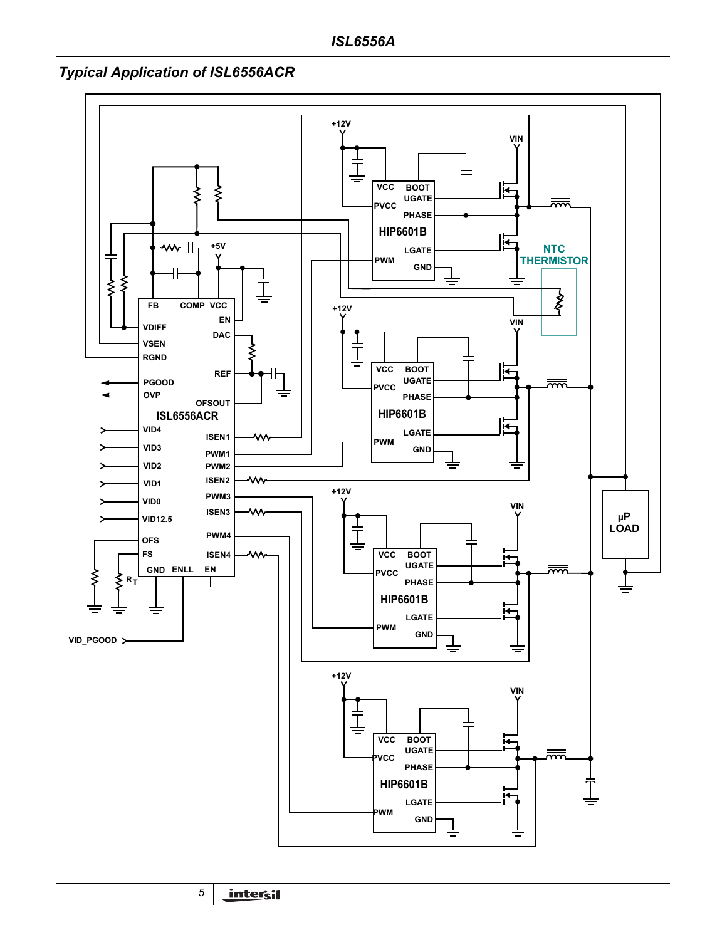*Typical Application of ISL6556ACR*

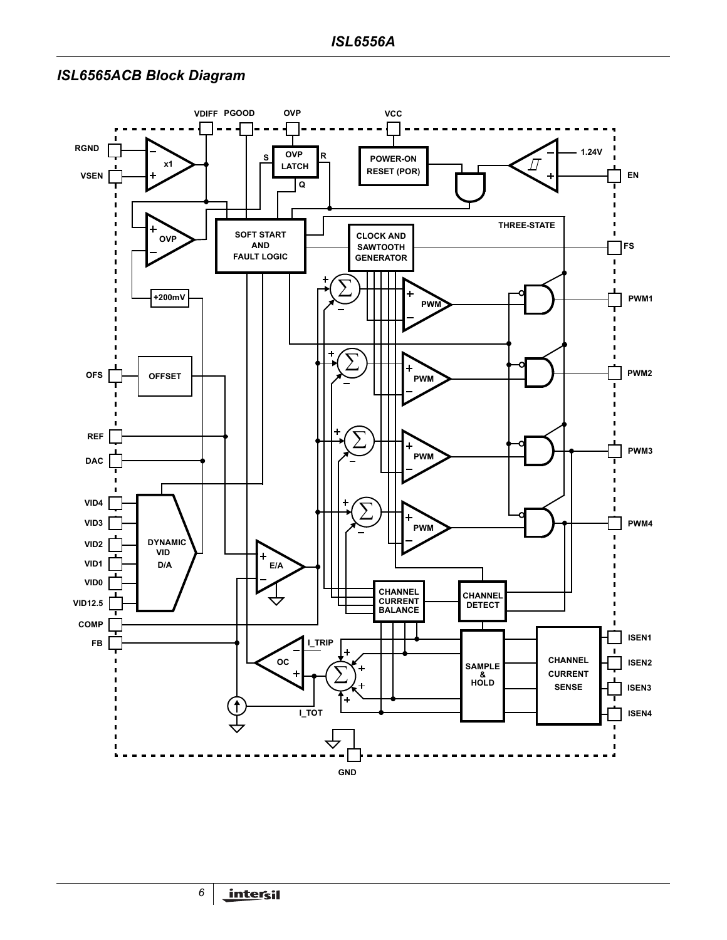# *ISL6565ACB Block Diagram*

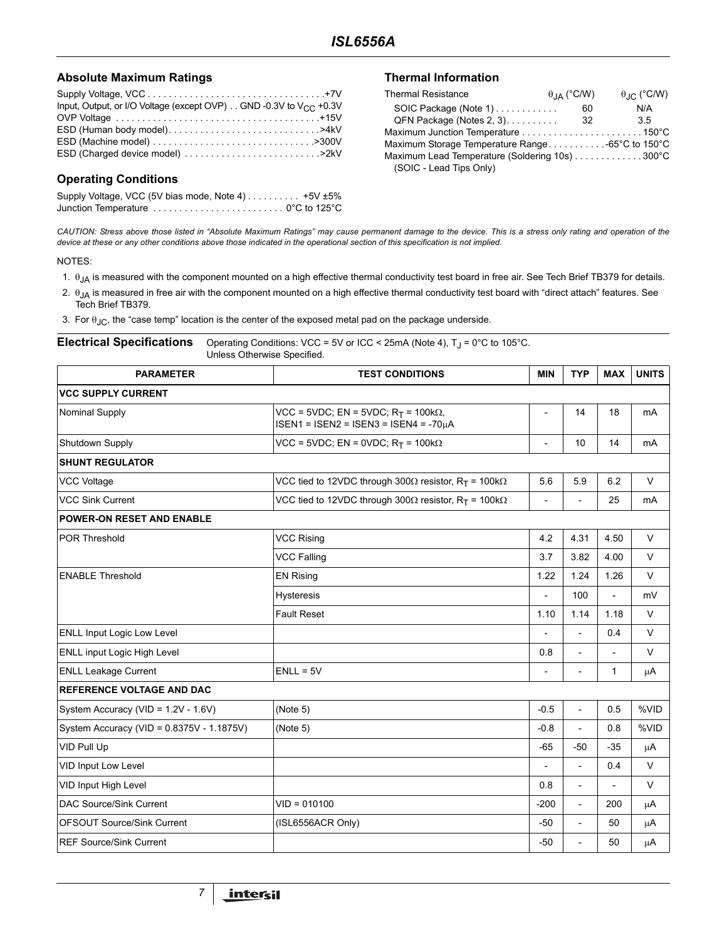#### **Absolute Maximum Ratings**

| Input, Output, or I/O Voltage (except OVP) GND -0.3V to $V_{CC}$ +0.3V |  |
|------------------------------------------------------------------------|--|
|                                                                        |  |
|                                                                        |  |
|                                                                        |  |
|                                                                        |  |

#### **Operating Conditions**

Supply Voltage, VCC (5V bias mode, Note 4) . . . . . . . . . . +5V ±5% Junction Temperature . . . . . . . . . . . . . . . . . . . . . . . . . 0°C to 125°C

#### **Thermal Information**

| <b>Thermal Resistance</b>                       | $\theta$ <sub>JA</sub> (°C/W) | $\theta$ <sub>JC</sub> (°C/W) |
|-------------------------------------------------|-------------------------------|-------------------------------|
| SOIC Package (Note 1)                           | 60                            | N/A                           |
| QFN Package (Notes 2, 3).                       | 32                            | 35                            |
|                                                 |                               |                               |
| Maximum Storage Temperature Range-65°C to 150°C |                               |                               |
| Maximum Lead Temperature (Soldering 10s) 300°C  |                               |                               |
| (SOIC - Lead Tips Only)                         |                               |                               |

*CAUTION: Stress above those listed in "Absolute Maximum Ratings" may cause permanent damage to the device. This is a stress only rating and operation of the device at these or any other conditions above those indicated in the operational section of this specification is not implied.*

#### NOTES:

- 1.  $\theta_{JA}$  is measured with the component mounted on a high effective thermal conductivity test board in free air. See Tech Brief TB379 for details.
- 2.  $\theta_{JA}$  is measured in free air with the component mounted on a high effective thermal conductivity test board with "direct attach" features. See Tech Brief TB379.
- 3. For  $\theta_{JC}$ , the "case temp" location is the center of the exposed metal pad on the package underside.

#### **Electrical Specifications** Operating Conditions: VCC = 5V or ICC < 25mA (Note 4), T<sub>J</sub> = 0°C to 105°C. Unless Otherwise Specified.

| <b>PARAMETER</b>                          | <b>TEST CONDITIONS</b>                                                                    |                          | <b>TYP</b>               | <b>MAX</b>     | <b>UNITS</b> |
|-------------------------------------------|-------------------------------------------------------------------------------------------|--------------------------|--------------------------|----------------|--------------|
| <b>VCC SUPPLY CURRENT</b>                 |                                                                                           |                          |                          |                |              |
| <b>Nominal Supply</b>                     | VCC = 5VDC; EN = 5VDC; $R_T$ = 100k $\Omega$ ,<br>$ISBN1 = ISBN2 = ISBN3 = ISBN4 = -70µA$ |                          | 14                       | 18             | mA           |
| Shutdown Supply                           | $VCC = 5VDC$ ; EN = 0VDC; R <sub>T</sub> = 100k $\Omega$                                  | $\overline{\phantom{a}}$ | 10                       | 14             | mA           |
| <b>SHUNT REGULATOR</b>                    |                                                                                           |                          |                          |                |              |
| <b>VCC Voltage</b>                        | VCC tied to 12VDC through 300 $\Omega$ resistor, R <sub>T</sub> = 100k $\Omega$           | 5.6                      | 5.9                      | 6.2            | $\vee$       |
| <b>VCC Sink Current</b>                   | VCC tied to 12VDC through 300 $\Omega$ resistor, R <sub>T</sub> = 100k $\Omega$           | $\overline{a}$           |                          | 25             | mA           |
| <b>POWER-ON RESET AND ENABLE</b>          |                                                                                           |                          |                          |                |              |
| POR Threshold                             | <b>VCC Rising</b>                                                                         | 4.2                      | 4.31                     | 4.50           | $\vee$       |
|                                           | <b>VCC Falling</b>                                                                        | 3.7                      | 3.82                     | 4.00           | $\vee$       |
| <b>ENABLE Threshold</b>                   | <b>EN Rising</b>                                                                          | 1.22                     | 1.24                     | 1.26           | $\vee$       |
|                                           | <b>Hysteresis</b>                                                                         |                          | 100                      | $\overline{a}$ | mV           |
|                                           | <b>Fault Reset</b>                                                                        | 1.10                     | 1.14                     | 1.18           | V            |
| ENLL Input Logic Low Level                |                                                                                           |                          | $\overline{a}$           | 0.4            | $\vee$       |
| ENLL input Logic High Level               |                                                                                           | 0.8                      |                          |                | $\vee$       |
| <b>ENLL Leakage Current</b>               | $ENLL = 5V$                                                                               |                          |                          | $\mathbf{1}$   | μA           |
| <b>REFERENCE VOLTAGE AND DAC</b>          |                                                                                           |                          |                          |                |              |
| System Accuracy (VID = 1.2V - 1.6V)       | (Note 5)                                                                                  | $-0.5$                   | $\overline{a}$           | 0.5            | %VID         |
| System Accuracy (VID = 0.8375V - 1.1875V) | (Note 5)                                                                                  | $-0.8$                   | $\overline{a}$           | 0.8            | %VID         |
| VID Pull Up                               |                                                                                           | $-65$                    | $-50$                    | $-35$          | μA           |
| VID Input Low Level                       |                                                                                           | $\overline{a}$           | ÷,                       | 0.4            | $\vee$       |
| VID Input High Level                      |                                                                                           | 0.8                      | $\overline{\phantom{a}}$ | $\overline{a}$ | $\vee$       |
| <b>DAC Source/Sink Current</b>            | $VID = 010100$                                                                            | $-200$                   | ÷,                       | 200            | μA           |
| <b>OFSOUT Source/Sink Current</b>         | (ISL6556ACR Only)                                                                         | $-50$                    | $\overline{a}$           | 50             | μA           |
| <b>REF Source/Sink Current</b>            |                                                                                           | $-50$                    |                          | 50             | μA           |

*7*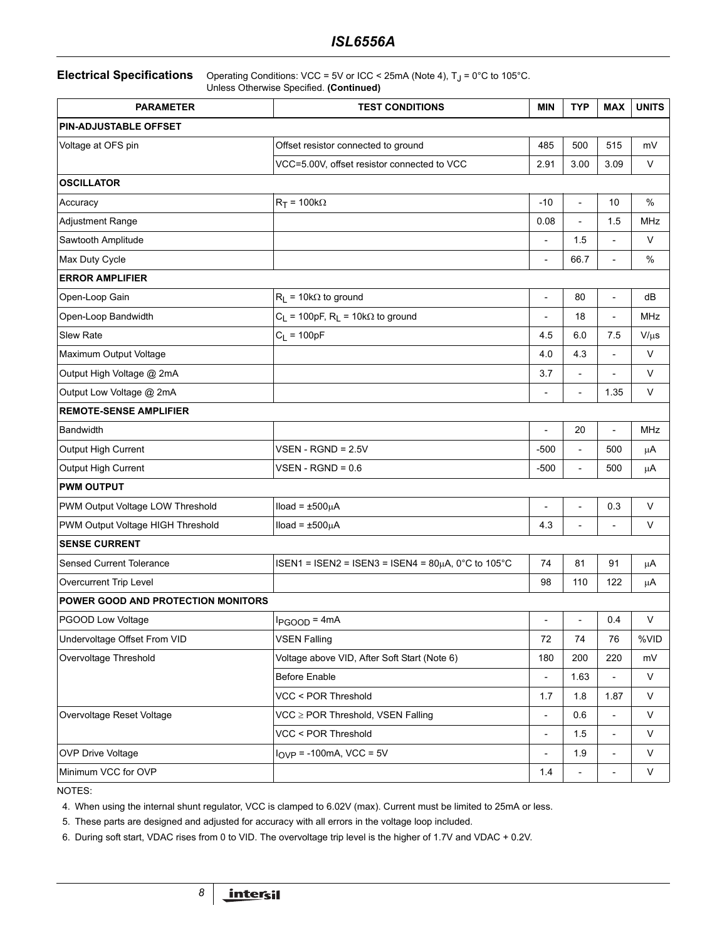#### **Electrical Specifications** Operating Conditions: VCC = 5V or ICC < 25mA (Note 4), T<sub>J</sub> = 0°C to 105°C. Unless Otherwise Specified. **(Continued)**

| <b>PARAMETER</b>                   | <b>TEST CONDITIONS</b>                                  | <b>MIN</b>               | <b>TYP</b>               | <b>MAX</b>               | <b>UNITS</b> |
|------------------------------------|---------------------------------------------------------|--------------------------|--------------------------|--------------------------|--------------|
| <b>PIN-ADJUSTABLE OFFSET</b>       |                                                         |                          |                          |                          |              |
| Voltage at OFS pin                 | Offset resistor connected to ground                     | 485                      | 500                      | 515                      | mV           |
|                                    | VCC=5.00V, offset resistor connected to VCC             | 2.91                     | 3.00                     | 3.09                     | V            |
| <b>OSCILLATOR</b>                  |                                                         |                          |                          |                          |              |
| Accuracy                           | $R_T = 100k\Omega$                                      | $-10$                    | $\overline{a}$           | 10                       | %            |
| <b>Adjustment Range</b>            |                                                         | 0.08                     | $\overline{a}$           | 1.5                      | MHz          |
| Sawtooth Amplitude                 |                                                         |                          | 1.5                      | $\overline{\phantom{a}}$ | V            |
| Max Duty Cycle                     |                                                         |                          | 66.7                     | $\overline{a}$           | $\%$         |
| <b>ERROR AMPLIFIER</b>             |                                                         |                          |                          |                          |              |
| Open-Loop Gain                     | $R_L$ = 10k $\Omega$ to ground                          | $\overline{\phantom{a}}$ | 80                       | $\overline{\phantom{a}}$ | dB           |
| Open-Loop Bandwidth                | $C_L$ = 100pF, $R_L$ = 10k $\Omega$ to ground           |                          | 18                       |                          | <b>MHz</b>   |
| <b>Slew Rate</b>                   | $C_L = 100pF$                                           | 4.5                      | 6.0                      | 7.5                      | $V/\mu s$    |
| Maximum Output Voltage             |                                                         | 4.0                      | 4.3                      | $\overline{a}$           | V            |
| Output High Voltage @ 2mA          |                                                         | 3.7                      |                          |                          | V            |
| Output Low Voltage @ 2mA           |                                                         |                          | $\overline{a}$           | 1.35                     | V            |
| <b>REMOTE-SENSE AMPLIFIER</b>      |                                                         |                          |                          |                          |              |
| <b>Bandwidth</b>                   |                                                         |                          | 20                       |                          | MHz          |
| Output High Current                | $VSEN$ - RGND = 2.5V                                    | $-500$                   | $\overline{a}$           | 500                      | μA           |
| Output High Current                | VSEN - RGND = 0.6                                       | $-500$                   | $\overline{a}$           | 500                      | $\mu$ A      |
| <b>PWM OUTPUT</b>                  |                                                         |                          |                          |                          |              |
| PWM Output Voltage LOW Threshold   | $Iload = ±500µA$                                        |                          | $\overline{\phantom{a}}$ | 0.3                      | V            |
| PWM Output Voltage HIGH Threshold  | $Iload = ±500µA$                                        | 4.3                      |                          | $\overline{a}$           | V            |
| <b>SENSE CURRENT</b>               |                                                         |                          |                          |                          |              |
| <b>Sensed Current Tolerance</b>    | ISEN1 = ISEN2 = ISEN3 = ISEN4 = $80\mu$ A, 0°C to 105°C | 74                       | 81                       | 91                       | μA           |
| Overcurrent Trip Level             |                                                         | 98                       | 110                      | 122                      | $\mu$ A      |
| POWER GOOD AND PROTECTION MONITORS |                                                         |                          |                          |                          |              |
| PGOOD Low Voltage                  | $I_{PGOOD} = 4mA$                                       | $\overline{\phantom{a}}$ | $\overline{\phantom{0}}$ | 0.4                      | ٧            |
| Undervoltage Offset From VID       | <b>VSEN Falling</b>                                     | 72                       | 74                       | 76                       | %VID         |
| Overvoltage Threshold              | Voltage above VID, After Soft Start (Note 6)            | 180                      | 200                      | 220                      | mV           |
|                                    | Before Enable                                           | $\overline{\phantom{a}}$ | 1.63                     | $\frac{1}{2}$            | V            |
|                                    | VCC < POR Threshold                                     | 1.7                      | 1.8                      | 1.87                     | V            |
| Overvoltage Reset Voltage          | VCC ≥ POR Threshold, VSEN Falling                       |                          | 0.6                      | $\overline{\phantom{a}}$ | V            |
|                                    | VCC < POR Threshold                                     | $\overline{a}$           | 1.5                      | $\overline{\phantom{a}}$ | V            |
| <b>OVP Drive Voltage</b>           | $I_{OVP}$ = -100mA, VCC = 5V                            | $\overline{\phantom{a}}$ | 1.9                      | $\overline{\phantom{a}}$ | V            |
| Minimum VCC for OVP                |                                                         | 1.4                      |                          | $\overline{\phantom{a}}$ | V            |

NOTES:

4. When using the internal shunt regulator, VCC is clamped to 6.02V (max). Current must be limited to 25mA or less.

5. These parts are designed and adjusted for accuracy with all errors in the voltage loop included.

6. During soft start, VDAC rises from 0 to VID. The overvoltage trip level is the higher of 1.7V and VDAC + 0.2V.

*8*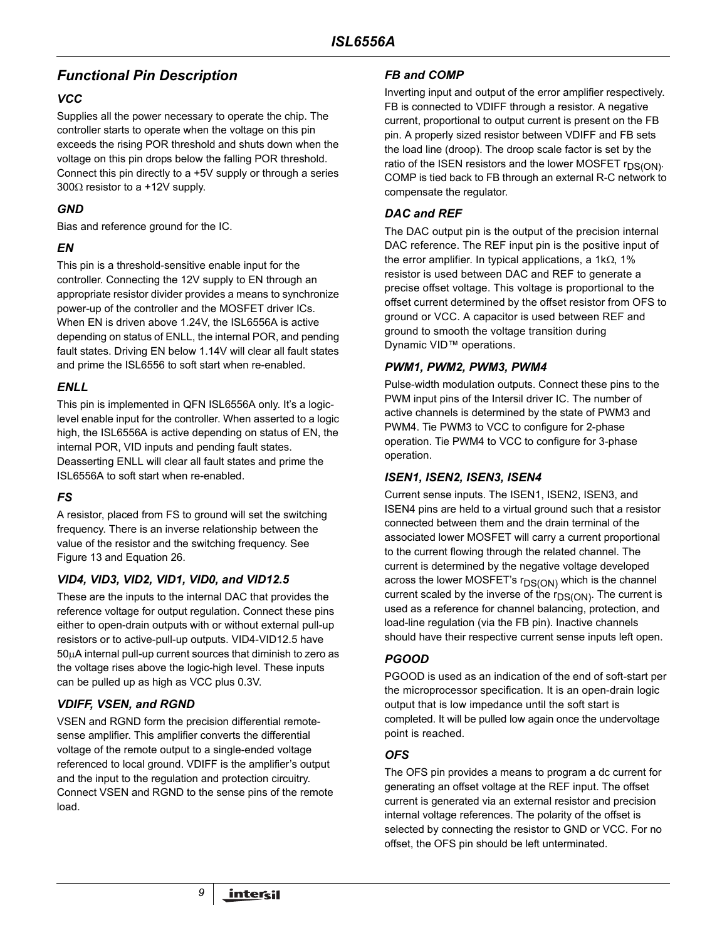# *Functional Pin Description*

## *VCC*

Supplies all the power necessary to operate the chip. The controller starts to operate when the voltage on this pin exceeds the rising POR threshold and shuts down when the voltage on this pin drops below the falling POR threshold. Connect this pin directly to a +5V supply or through a series 300 $\Omega$  resistor to a +12V supply.

## *GND*

Bias and reference ground for the IC.

# *EN*

This pin is a threshold-sensitive enable input for the controller. Connecting the 12V supply to EN through an appropriate resistor divider provides a means to synchronize power-up of the controller and the MOSFET driver ICs. When EN is driven above 1.24V, the ISL6556A is active depending on status of ENLL, the internal POR, and pending fault states. Driving EN below 1.14V will clear all fault states and prime the ISL6556 to soft start when re-enabled.

# *ENLL*

This pin is implemented in QFN ISL6556A only. It's a logiclevel enable input for the controller. When asserted to a logic high, the ISL6556A is active depending on status of EN, the internal POR, VID inputs and pending fault states. Deasserting ENLL will clear all fault states and prime the ISL6556A to soft start when re-enabled.

# *FS*

A resistor, placed from FS to ground will set the switching frequency. There is an inverse relationship between the value of the resistor and the switching frequency. See Figure [13](#page-20-0) and Equation 26.

## *VID4, VID3, VID2, VID1, VID0, and VID12.5*

These are the inputs to the internal DAC that provides the reference voltage for output regulation. Connect these pins either to open-drain outputs with or without external pull-up resistors or to active-pull-up outputs. VID4-VID12.5 have 50µA internal pull-up current sources that diminish to zero as the voltage rises above the logic-high level. These inputs can be pulled up as high as VCC plus 0.3V.

# *VDIFF, VSEN, and RGND*

VSEN and RGND form the precision differential remotesense amplifier. This amplifier converts the differential voltage of the remote output to a single-ended voltage referenced to local ground. VDIFF is the amplifier's output and the input to the regulation and protection circuitry. Connect VSEN and RGND to the sense pins of the remote load.

## *FB and COMP*

Inverting input and output of the error amplifier respectively. FB is connected to VDIFF through a resistor. A negative current, proportional to output current is present on the FB pin. A properly sized resistor between VDIFF and FB sets the load line (droop). The droop scale factor is set by the ratio of the ISEN resistors and the lower MOSFET r<sub>DS(ON)</sub>. COMP is tied back to FB through an external R-C network to compensate the regulator.

# *DAC and REF*

The DAC output pin is the output of the precision internal DAC reference. The REF input pin is the positive input of the error amplifier. In typical applications, a 1kΩ, 1% resistor is used between DAC and REF to generate a precise offset voltage. This voltage is proportional to the offset current determined by the offset resistor from OFS to ground or VCC. A capacitor is used between REF and ground to smooth the voltage transition during Dynamic VID™ operations.

## *PWM1, PWM2, PWM3, PWM4*

Pulse-width modulation outputs. Connect these pins to the PWM input pins of the Intersil driver IC. The number of active channels is determined by the state of PWM3 and PWM4. Tie PWM3 to VCC to configure for 2-phase operation. Tie PWM4 to VCC to configure for 3-phase operation.

## *ISEN1, ISEN2, ISEN3, ISEN4*

Current sense inputs. The ISEN1, ISEN2, ISEN3, and ISEN4 pins are held to a virtual ground such that a resistor connected between them and the drain terminal of the associated lower MOSFET will carry a current proportional to the current flowing through the related channel. The current is determined by the negative voltage developed across the lower MOSFET's  $r_{DS(ON)}$  which is the channel current scaled by the inverse of the  $r_{DS(ON)}$ . The current is used as a reference for channel balancing, protection, and load-line regulation (via the FB pin). Inactive channels should have their respective current sense inputs left open.

# *PGOOD*

PGOOD is used as an indication of the end of soft-start per the microprocessor specification. It is an open-drain logic output that is low impedance until the soft start is completed. It will be pulled low again once the undervoltage point is reached.

## *OFS*

The OFS pin provides a means to program a dc current for generating an offset voltage at the REF input. The offset current is generated via an external resistor and precision internal voltage references. The polarity of the offset is selected by connecting the resistor to GND or VCC. For no offset, the OFS pin should be left unterminated.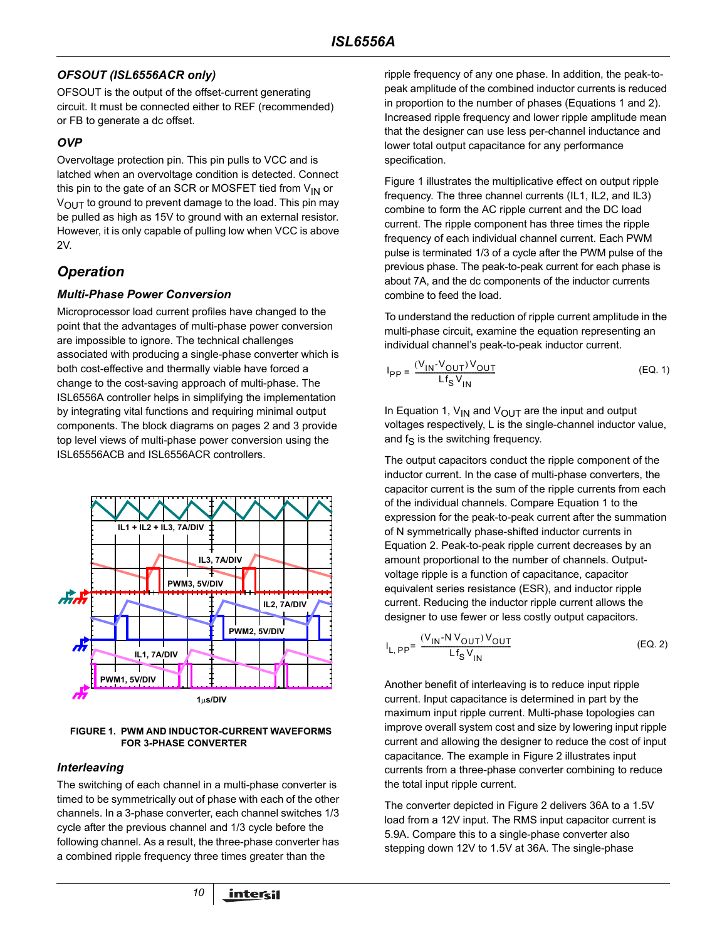## *OFSOUT (ISL6556ACR only)*

OFSOUT is the output of the offset-current generating circuit. It must be connected either to REF (recommended) or FB to generate a dc offset.

## *OVP*

Overvoltage protection pin. This pin pulls to VCC and is latched when an overvoltage condition is detected. Connect this pin to the gate of an SCR or MOSFET tied from  $V_{\text{IN}}$  or  $V_{\text{OUT}}$  to ground to prevent damage to the load. This pin may be pulled as high as 15V to ground with an external resistor. However, it is only capable of pulling low when VCC is above 2V.

# *Operation*

## *Multi-Phase Power Conversion*

Microprocessor load current profiles have changed to the point that the advantages of multi-phase power conversion are impossible to ignore. The technical challenges associated with producing a single-phase converter which is both cost-effective and thermally viable have forced a change to the cost-saving approach of multi-phase. The ISL6556A controller helps in simplifying the implementation by integrating vital functions and requiring minimal output components. The block diagrams on pages 2 and 3 provide top level views of multi-phase power conversion using the ISL65556ACB and ISL6556ACR controllers.



**FIGURE 1. PWM AND INDUCTOR-CURRENT WAVEFORMS FOR 3-PHASE CONVERTER**

#### *Interleaving*

The switching of each channel in a multi-phase converter is timed to be symmetrically out of phase with each of the other channels. In a 3-phase converter, each channel switches 1/3 cycle after the previous channel and 1/3 cycle before the following channel. As a result, the three-phase converter has a combined ripple frequency three times greater than the

ripple frequency of any one phase. In addition, the peak-topeak amplitude of the combined inductor currents is reduced in proportion to the number of phases (Equations 1 and 2). Increased ripple frequency and lower ripple amplitude mean that the designer can use less per-channel inductance and lower total output capacitance for any performance specification.

Figure 1 illustrates the multiplicative effect on output ripple frequency. The three channel currents (IL1, IL2, and IL3) combine to form the AC ripple current and the DC load current. The ripple component has three times the ripple frequency of each individual channel current. Each PWM pulse is terminated 1/3 of a cycle after the PWM pulse of the previous phase. The peak-to-peak current for each phase is about 7A, and the dc components of the inductor currents combine to feed the load.

To understand the reduction of ripple current amplitude in the multi-phase circuit, examine the equation representing an individual channel's peak-to-peak inductor current.

$$
I_{PP} = \frac{(V_{IN} - V_{OUT})V_{OUT}}{Lf_{S}V_{IN}}
$$
 (EQ. 1)

In Equation 1,  $V_{IN}$  and  $V_{OUT}$  are the input and output voltages respectively, L is the single-channel inductor value, and  $f_S$  is the switching frequency.

The output capacitors conduct the ripple component of the inductor current. In the case of multi-phase converters, the capacitor current is the sum of the ripple currents from each of the individual channels. Compare Equation 1 to the expression for the peak-to-peak current after the summation of N symmetrically phase-shifted inductor currents in Equation 2. Peak-to-peak ripple current decreases by an amount proportional to the number of channels. Outputvoltage ripple is a function of capacitance, capacitor equivalent series resistance (ESR), and inductor ripple current. Reducing the inductor ripple current allows the designer to use fewer or less costly output capacitors.

$$
I_{L, PP} = \frac{(V_{IN} - NV_{OUT})V_{OUT}}{Lf_S V_{IN}}
$$
 (Eq. 2)

Another benefit of interleaving is to reduce input ripple current. Input capacitance is determined in part by the maximum input ripple current. Multi-phase topologies can improve overall system cost and size by lowering input ripple current and allowing the designer to reduce the cost of input capacitance. The example in Figure 2 illustrates input currents from a three-phase converter combining to reduce the total input ripple current.

The converter depicted in Figure 2 delivers 36A to a 1.5V load from a 12V input. The RMS input capacitor current is 5.9A. Compare this to a single-phase converter also stepping down 12V to 1.5V at 36A. The single-phase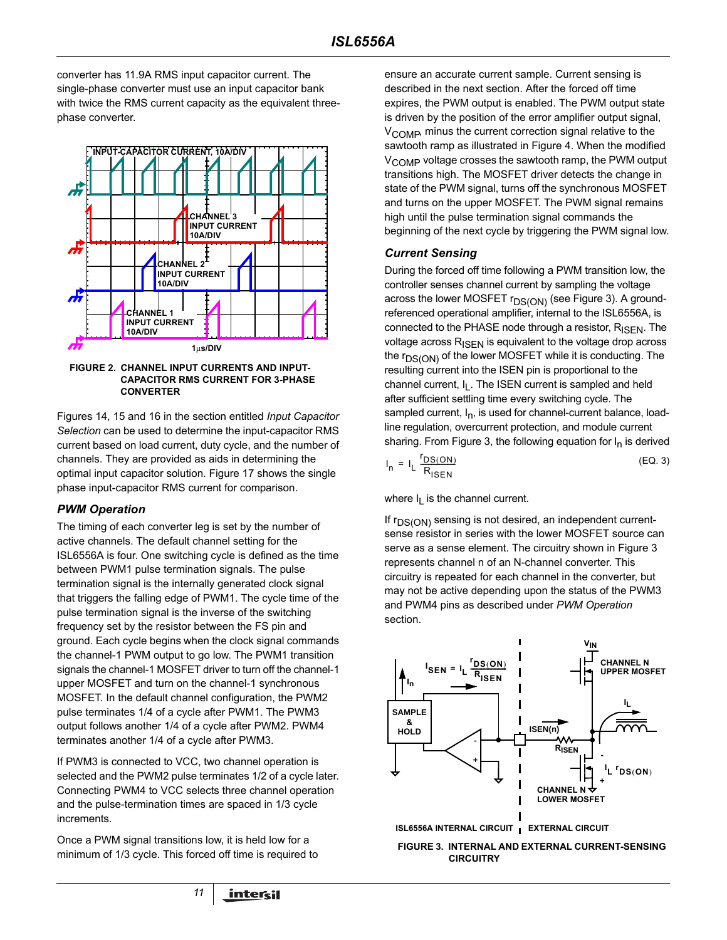converter has 11.9A RMS input capacitor current. The single-phase converter must use an input capacitor bank with twice the RMS current capacity as the equivalent threephase converter.





Figures 14, 15 and 16 in the section entitled *Input Capacitor Selection* can be used to determine the input-capacitor RMS current based on load current, duty cycle, and the number of channels. They are provided as aids in determining the optimal input capacitor solution. Figure 17 shows the single phase input-capacitor RMS current for comparison.

#### *PWM Operation*

The timing of each converter leg is set by the number of active channels. The default channel setting for the ISL6556A is four. One switching cycle is defined as the time between PWM1 pulse termination signals. The pulse termination signal is the internally generated clock signal that triggers the falling edge of PWM1. The cycle time of the pulse termination signal is the inverse of the switching frequency set by the resistor between the FS pin and ground. Each cycle begins when the clock signal commands the channel-1 PWM output to go low. The PWM1 transition signals the channel-1 MOSFET driver to turn off the channel-1 upper MOSFET and turn on the channel-1 synchronous MOSFET. In the default channel configuration, the PWM2 pulse terminates 1/4 of a cycle after PWM1. The PWM3 output follows another 1/4 of a cycle after PWM2. PWM4 terminates another 1/4 of a cycle after PWM3.

If PWM3 is connected to VCC, two channel operation is selected and the PWM2 pulse terminates 1/2 of a cycle later. Connecting PWM4 to VCC selects three channel operation and the pulse-termination times are spaced in 1/3 cycle increments.

Once a PWM signal transitions low, it is held low for a minimum of 1/3 cycle. This forced off time is required to

*11*

ensure an accurate current sample. Current sensing is described in the next section. After the forced off time expires, the PWM output is enabled. The PWM output state is driven by the position of the error amplifier output signal, V<sub>COMP</sub>, minus the current correction signal relative to the sawtooth ramp as illustrated in Figure 4. When the modified V<sub>COMP</sub> voltage crosses the sawtooth ramp, the PWM output transitions high. The MOSFET driver detects the change in state of the PWM signal, turns off the synchronous MOSFET and turns on the upper MOSFET. The PWM signal remains high until the pulse termination signal commands the beginning of the next cycle by triggering the PWM signal low.

#### *Current Sensing*

During the forced off time following a PWM transition low, the controller senses channel current by sampling the voltage across the lower MOSFET  $r_{DS(ON)}$  (see Figure 3). A groundreferenced operational amplifier, internal to the ISL6556A, is connected to the PHASE node through a resistor,  $R_{\text{ISFN}}$ . The voltage across  $R_{\text{ISEN}}$  is equivalent to the voltage drop across the  $r_{DS(ON)}$  of the lower MOSFET while it is conducting. The resulting current into the ISEN pin is proportional to the channel current,  $I_1$ . The ISEN current is sampled and held after sufficient settling time every switching cycle. The sampled current,  $I_n$ , is used for channel-current balance, loadline regulation, overcurrent protection, and module current sharing. From Figure 3, the following equation for  $I_n$  is derived

$$
I_n = I_L \frac{r_{DS(ON)}}{R_{ISEN}}
$$
 (EQ. 3)

where  $I_1$  is the channel current.

If r<sub>DS(ON)</sub> sensing is not desired, an independent currentsense resistor in series with the lower MOSFET source can serve as a sense element. The circuitry shown in Figure 3 represents channel n of an N-channel converter. This circuitry is repeated for each channel in the converter, but may not be active depending upon the status of the PWM3 and PWM4 pins as described under *PWM Operation* section.



**FIGURE 3. INTERNAL AND EXTERNAL CURRENT-SENSING CIRCUITRY**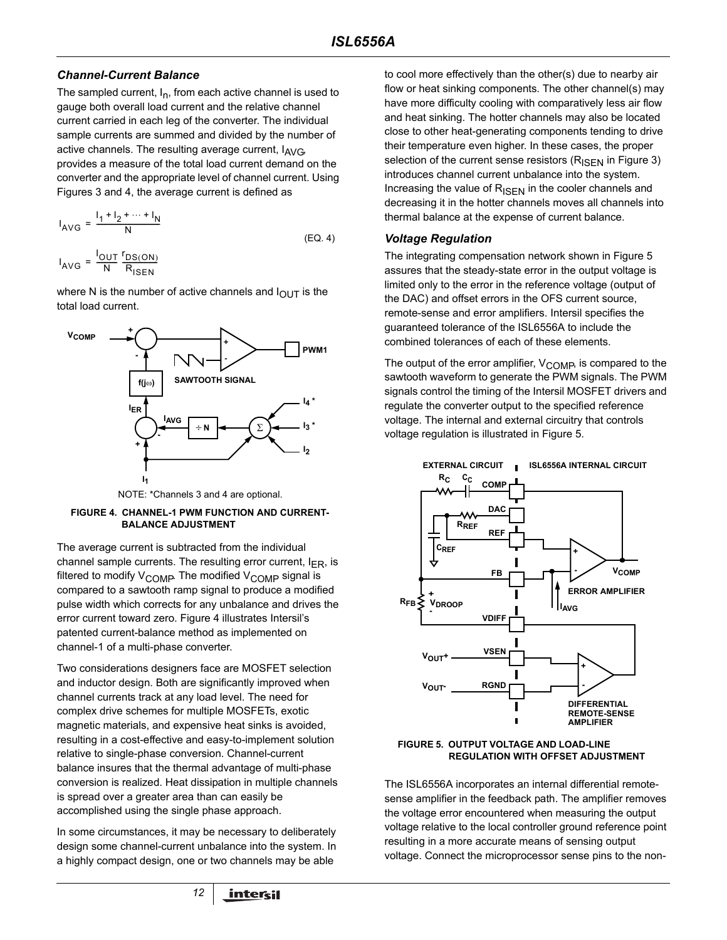## *Channel-Current Balance*

The sampled current,  $I_n$ , from each active channel is used to gauge both overall load current and the relative channel current carried in each leg of the converter. The individual sample currents are summed and divided by the number of active channels. The resulting average current,  $I_{AVG}$ provides a measure of the total load current demand on the converter and the appropriate level of channel current. Using Figures 3 and 4, the average current is defined as

$$
I_{AVG} = \frac{I_1 + I_2 + \dots + I_N}{N}
$$
 (EQ. 4)  

$$
I_{UUS} = \frac{I_{OUT} I_{DS(ON)}}{N}
$$

I AVG  $\frac{1_{\text{OUT}}}{N}$  r  $=\frac{N}{N}\frac{B_{S(ON)}}{R_{ISEN}}$ 

where N is the number of active channels and  $I_{\text{OUT}}$  is the total load current.



NOTE: \*Channels 3 and 4 are optional.

#### **FIGURE 4. CHANNEL-1 PWM FUNCTION AND CURRENT-BALANCE ADJUSTMENT**

The average current is subtracted from the individual channel sample currents. The resulting error current,  $I_{ER}$ , is filtered to modify  $V_{\text{COMP}}$ . The modified  $V_{\text{COMP}}$  signal is compared to a sawtooth ramp signal to produce a modified pulse width which corrects for any unbalance and drives the error current toward zero. Figure 4 illustrates Intersil's patented current-balance method as implemented on channel-1 of a multi-phase converter.

Two considerations designers face are MOSFET selection and inductor design. Both are significantly improved when channel currents track at any load level. The need for complex drive schemes for multiple MOSFETs, exotic magnetic materials, and expensive heat sinks is avoided, resulting in a cost-effective and easy-to-implement solution relative to single-phase conversion. Channel-current balance insures that the thermal advantage of multi-phase conversion is realized. Heat dissipation in multiple channels is spread over a greater area than can easily be accomplished using the single phase approach.

In some circumstances, it may be necessary to deliberately design some channel-current unbalance into the system. In a highly compact design, one or two channels may be able

to cool more effectively than the other(s) due to nearby air flow or heat sinking components. The other channel(s) may have more difficulty cooling with comparatively less air flow and heat sinking. The hotter channels may also be located close to other heat-generating components tending to drive their temperature even higher. In these cases, the proper selection of the current sense resistors ( $R_{\text{ISFN}}$  in Figure 3) introduces channel current unbalance into the system. Increasing the value of  $R_{\text{ISEN}}$  in the cooler channels and decreasing it in the hotter channels moves all channels into thermal balance at the expense of current balance.

## *Voltage Regulation*

The integrating compensation network shown in Figure 5 assures that the steady-state error in the output voltage is limited only to the error in the reference voltage (output of the DAC) and offset errors in the OFS current source, remote-sense and error amplifiers. Intersil specifies the guaranteed tolerance of the ISL6556A to include the combined tolerances of each of these elements.

The output of the error amplifier,  $V_{\text{COMP}}$ , is compared to the sawtooth waveform to generate the PWM signals. The PWM signals control the timing of the Intersil MOSFET drivers and regulate the converter output to the specified reference voltage. The internal and external circuitry that controls voltage regulation is illustrated in Figure 5.



#### **FIGURE 5. OUTPUT VOLTAGE AND LOAD-LINE REGULATION WITH OFFSET ADJUSTMENT**

The ISL6556A incorporates an internal differential remotesense amplifier in the feedback path. The amplifier removes the voltage error encountered when measuring the output voltage relative to the local controller ground reference point resulting in a more accurate means of sensing output voltage. Connect the microprocessor sense pins to the non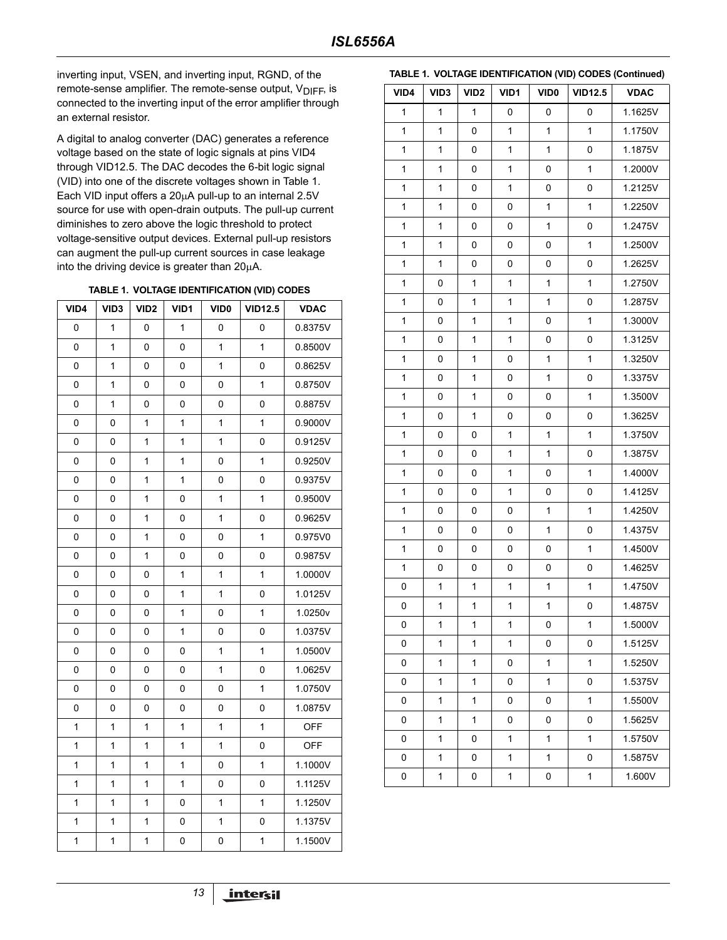inverting input, VSEN, and inverting input, RGND, of the remote-sense amplifier. The remote-sense output, V<sub>DIFF</sub>, is connected to the inverting input of the error amplifier through an external resistor.

A digital to analog converter (DAC) generates a reference voltage based on the state of logic signals at pins VID4 through VID12.5. The DAC decodes the 6-bit logic signal (VID) into one of the discrete voltages shown in Table 1. Each VID input offers a 20µA pull-up to an internal 2.5V source for use with open-drain outputs. The pull-up current diminishes to zero above the logic threshold to protect voltage-sensitive output devices. External pull-up resistors can augment the pull-up current sources in case leakage into the driving device is greater than 20µA.

**TABLE 1. VOLTAGE IDENTIFICATION (VID) CODES**

| VID4         | VID <sub>3</sub> | VID <sub>2</sub> | VID1         | <b>VID0</b>  | <b>VID12.5</b> | <b>VDAC</b> |
|--------------|------------------|------------------|--------------|--------------|----------------|-------------|
| 0            | 1                | 0                | $\mathbf{1}$ | 0            | 0              | 0.8375V     |
| 0            | 1                | 0                | 0            | 1            | 1              | 0.8500V     |
| 0            | 1                | 0                | 0            | 1            | 0              | 0.8625V     |
| 0            | 1                | 0                | 0            | 0            | 1              | 0.8750V     |
| 0            | 1                | 0                | 0            | 0            | 0              | 0.8875V     |
| 0            | 0                | 1                | 1            | 1            | 1              | 0.9000V     |
| 0            | 0                | 1                | 1            | 1            | 0              | 0.9125V     |
| 0            | 0                | 1                | 1            | 0            | $\mathbf{1}$   | 0.9250V     |
| $\pmb{0}$    | 0                | $\mathbf{1}$     | 1            | 0            | 0              | 0.9375V     |
| 0            | 0                | $\mathbf{1}$     | 0            | 1            | $\mathbf 1$    | 0.9500V     |
| 0            | 0                | $\mathbf{1}$     | 0            | $\mathbf 1$  | 0              | 0.9625V     |
| 0            | 0                | $\mathbf 1$      | 0            | 0            | $\mathbf{1}$   | 0.975V0     |
| 0            | 0                | $\mathbf{1}$     | 0            | 0            | 0              | 0.9875V     |
| 0            | 0                | 0                | 1            | 1            | 1              | 1.0000V     |
| 0            | 0                | 0                | $\mathbf{1}$ | $\mathbf{1}$ | 0              | 1.0125V     |
| $\mathbf 0$  | 0                | 0                | $\mathbf{1}$ | 0            | $\mathbf{1}$   | 1.0250v     |
| 0            | 0                | 0                | $\mathbf{1}$ | 0            | 0              | 1.0375V     |
| 0            | 0                | 0                | 0            | $\mathbf 1$  | $\mathbf 1$    | 1.0500V     |
| 0            | 0                | 0                | 0            | $\mathbf{1}$ | 0              | 1.0625V     |
| 0            | 0                | 0                | 0            | 0            | 1              | 1.0750V     |
| 0            | 0                | 0                | 0            | 0            | 0              | 1.0875V     |
| $\mathbf{1}$ | 1                | $\mathbf{1}$     | 1            | 1            | 1              | <b>OFF</b>  |
| $\mathbf{1}$ | 1                | $\mathbf{1}$     | $\mathbf{1}$ | $\mathbf{1}$ | 0              | <b>OFF</b>  |
| $\mathbf{1}$ | 1                | $\mathbf 1$      | $\mathbf{1}$ | 0            | 1              | 1.1000V     |
| $\mathbf{1}$ | 1                | $\mathbf 1$      | $\mathbf 1$  | 0            | 0              | 1.1125V     |
| $\mathbf{1}$ | $\mathbf{1}$     | $\mathbf{1}$     | 0            | $\mathbf{1}$ | $\mathbf{1}$   | 1.1250V     |
| $\mathbf{1}$ | 1                | 1                | 0            | $\mathbf{1}$ | 0              | 1.1375V     |
| 1            | 1                | 1                | 0            | 0            | 1              | 1.1500V     |

#### **TABLE 1. VOLTAGE IDENTIFICATION (VID) CODES (Continued)**

| VID4        | VID <sub>3</sub> | VID <sub>2</sub> | VID1         | VID <sub>0</sub> | <b>VID12.5</b> | <b>VDAC</b> |
|-------------|------------------|------------------|--------------|------------------|----------------|-------------|
| 1           | 1                | 1                | 0            | 0                | 0              | 1.1625V     |
| 1           | 1                | 0                | $\mathbf{1}$ | $\mathbf{1}$     | $\mathbf 1$    | 1.1750V     |
| $\mathbf 1$ | $\mathbf{1}$     | 0                | $\mathbf{1}$ | 1                | 0              | 1.1875V     |
| 1           | 1                | 0                | $\mathbf{1}$ | 0                | $\mathbf 1$    | 1.2000V     |
| 1           | 1                | 0                | $\mathbf{1}$ | 0                | 0              | 1.2125V     |
| $\mathbf 1$ | 1                | 0                | 0            | $\mathbf{1}$     | $\mathbf{1}$   | 1.2250V     |
| 1           | 1                | 0                | 0            | $\mathbf{1}$     | 0              | 1.2475V     |
| 1           | 1                | 0                | 0            | 0                | 1              | 1.2500V     |
| $\mathbf 1$ | 1                | 0                | 0            | 0                | 0              | 1.2625V     |
| 1           | 0                | $\mathbf{1}$     | $\mathbf 1$  | $\mathbf{1}$     | $\mathbf{1}$   | 1.2750V     |
| 1           | 0                | $\mathbf{1}$     | $\mathbf{1}$ | $\mathbf{1}$     | 0              | 1.2875V     |
| $\mathbf 1$ | 0                | $\mathbf{1}$     | $\mathbf 1$  | 0                | $\mathbf{1}$   | 1.3000V     |
| 1           | 0                | $\mathbf{1}$     | $\mathbf{1}$ | 0                | 0              | 1.3125V     |
| 1           | 0                | $\mathbf{1}$     | 0            | $\mathbf{1}$     | 1              | 1.3250V     |
| $\mathbf 1$ | 0                | $\mathbf{1}$     | 0            | 1                | 0              | 1.3375V     |
| 1           | 0                | $\mathbf{1}$     | 0            | 0                | $\mathbf{1}$   | 1.3500V     |
| 1           | 0                | $\mathbf{1}$     | 0            | 0                | 0              | 1.3625V     |
| $\mathbf 1$ | 0                | 0                | $\mathbf{1}$ | $\mathbf{1}$     | $\mathbf{1}$   | 1.3750V     |
| 1           | 0                | 0                | $\mathbf{1}$ | $\mathbf{1}$     | 0              | 1.3875V     |
| 1           | 0                | 0                | 1            | 0                | 1              | 1.4000V     |
| $\mathbf 1$ | 0                | 0                | $\mathbf 1$  | 0                | 0              | 1.4125V     |
| 1           | 0                | 0                | 0            | $\mathbf{1}$     | $\mathbf{1}$   | 1.4250V     |
| 1           | 0                | 0                | 0            | $\mathbf{1}$     | 0              | 1.4375V     |
| $\mathbf 1$ | 0                | 0                | 0            | 0                | $\mathbf{1}$   | 1.4500V     |
| 1           | 0                | 0                | 0            | 0                | 0              | 1.4625V     |
| 0           | 1                | $\mathbf{1}$     | $\mathbf{1}$ | $\mathbf{1}$     | $\mathbf 1$    | 1.4750V     |
| 0           | $\mathbf{1}$     | 1                | $\mathbf 1$  | $\mathbf{1}$     | 0              | 1.4875V     |
| 0           | 1                | 1                | 1            | 0                | 1              | 1.5000V     |
| 0           | 1                | 1                | 1            | 0                | 0              | 1.5125V     |
| 0           | 1                | 1                | 0            | 1                | 1              | 1.5250V     |
| 0           | 1                | $\mathbf{1}$     | 0            | 1                | 0              | 1.5375V     |
| 0           | 1                | 1                | 0            | 0                | 1              | 1.5500V     |
| 0           | 1                | 1                | 0            | 0                | 0              | 1.5625V     |
| 0           | 1                | 0                | $\mathbf{1}$ | 1                | 1              | 1.5750V     |
| 0           | 1                | 0                | 1            | 1                | 0              | 1.5875V     |
| 0           | 1                | 0                | 1            | 0                | 1              | 1.600V      |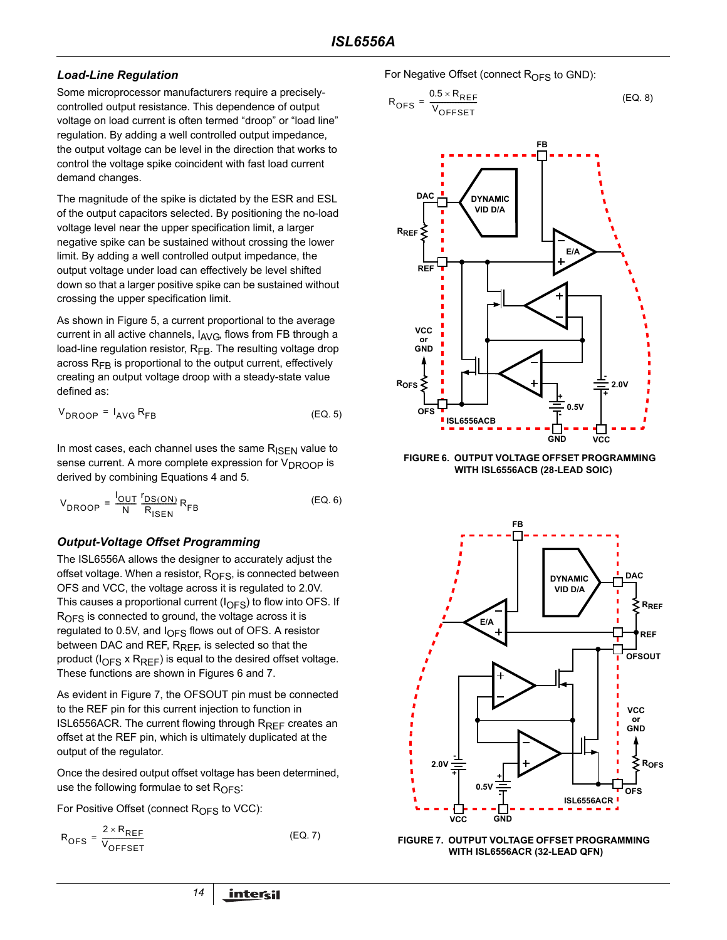### *Load-Line Regulation*

Some microprocessor manufacturers require a preciselycontrolled output resistance. This dependence of output voltage on load current is often termed "droop" or "load line" regulation. By adding a well controlled output impedance, the output voltage can be level in the direction that works to control the voltage spike coincident with fast load current demand changes.

The magnitude of the spike is dictated by the ESR and ESL of the output capacitors selected. By positioning the no-load voltage level near the upper specification limit, a larger negative spike can be sustained without crossing the lower limit. By adding a well controlled output impedance, the output voltage under load can effectively be level shifted down so that a larger positive spike can be sustained without crossing the upper specification limit.

As shown in Figure 5, a current proportional to the average current in all active channels,  $I_{AVG}$ , flows from FB through a load-line regulation resistor,  $R_{FB}$ . The resulting voltage drop across  $R_{FB}$  is proportional to the output current, effectively creating an output voltage droop with a steady-state value defined as:

$$
V_{\text{DROOP}} = I_{\text{AVG}} R_{\text{FB}} \tag{Eq. 5}
$$

In most cases, each channel uses the same  $R_{\text{ISEN}}$  value to sense current. A more complete expression for V<sub>DROOP</sub> is derived by combining Equations 4 and 5.

$$
V_{DROOP} = \frac{I_{OUT}}{N} \frac{r_{DS(ON)}}{R_{ISEN}} R_{FB}
$$
 (EQ. 6)

## *Output-Voltage Offset Programming*

The ISL6556A allows the designer to accurately adjust the offset voltage. When a resistor,  $R_{OFS}$ , is connected between OFS and VCC, the voltage across it is regulated to 2.0V. This causes a proportional current  $(I_{\text{OFS}})$  to flow into OFS. If  $R<sub>OFS</sub>$  is connected to ground, the voltage across it is regulated to 0.5V, and  $I<sub>OFS</sub>$  flows out of OFS. A resistor between DAC and REF,  $R_{REF}$ , is selected so that the product ( $I_{OFS}$  x  $R_{REF}$ ) is equal to the desired offset voltage. These functions are shown in Figures 6 and 7.

As evident in Figure 7, the OFSOUT pin must be connected to the REF pin for this current injection to function in ISL6556ACR. The current flowing through R<sub>REF</sub> creates an offset at the REF pin, which is ultimately duplicated at the output of the regulator.

Once the desired output offset voltage has been determined, use the following formulae to set  $R_{\text{OFS}}$ :

For Positive Offset (connect  $R<sub>OFS</sub>$  to VCC):

$$
R_{\text{OFS}} = \frac{2 \times R_{\text{REF}}}{V_{\text{OFFSET}}}
$$
 (EQ. 7)

For Negative Offset (connect  $R<sub>OFS</sub>$  to GND):

$$
R_{OFS} = \frac{0.5 \times R_{REF}}{V_{OFFSET}}
$$
 (EQ. 8)



**FIGURE 6. OUTPUT VOLTAGE OFFSET PROGRAMMING WITH ISL6556ACB (28-LEAD SOIC)**



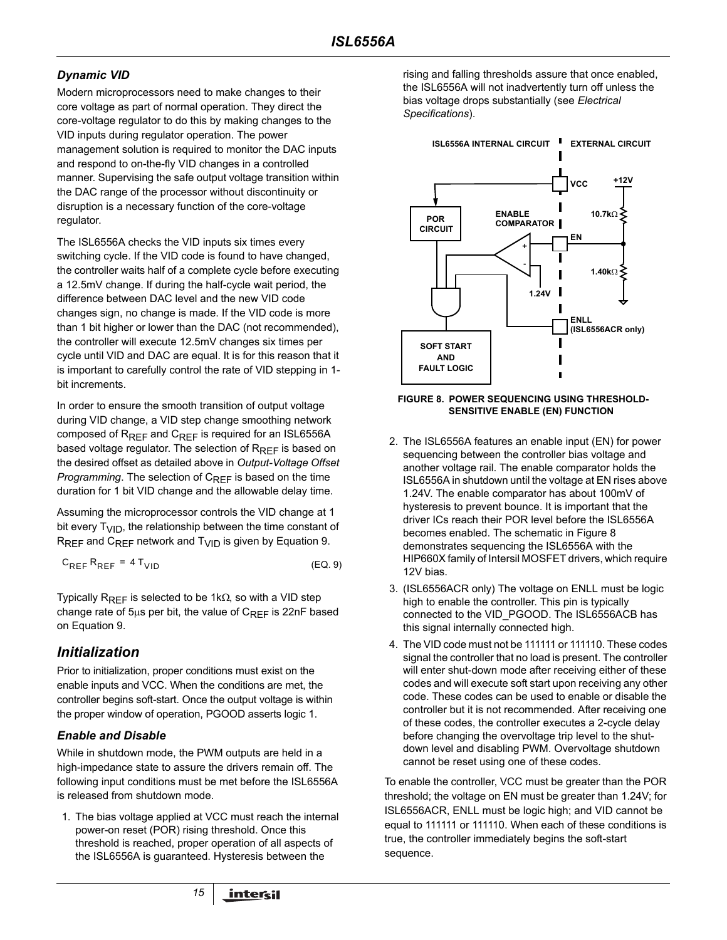# *Dynamic VID*

Modern microprocessors need to make changes to their core voltage as part of normal operation. They direct the core-voltage regulator to do this by making changes to the VID inputs during regulator operation. The power management solution is required to monitor the DAC inputs and respond to on-the-fly VID changes in a controlled manner. Supervising the safe output voltage transition within the DAC range of the processor without discontinuity or disruption is a necessary function of the core-voltage regulator.

The ISL6556A checks the VID inputs six times every switching cycle. If the VID code is found to have changed, the controller waits half of a complete cycle before executing a 12.5mV change. If during the half-cycle wait period, the difference between DAC level and the new VID code changes sign, no change is made. If the VID code is more than 1 bit higher or lower than the DAC (not recommended), the controller will execute 12.5mV changes six times per cycle until VID and DAC are equal. It is for this reason that it is important to carefully control the rate of VID stepping in 1 bit increments.

In order to ensure the smooth transition of output voltage during VID change, a VID step change smoothing network composed of  $R_{RFF}$  and  $C_{RFF}$  is required for an ISL6556A based voltage regulator. The selection of R<sub>REF</sub> is based on the desired offset as detailed above in *Output-Voltage Offset Programming*. The selection of C<sub>RFF</sub> is based on the time duration for 1 bit VID change and the allowable delay time.

Assuming the microprocessor controls the VID change at 1 bit every  $T_{\text{VID}}$ , the relationship between the time constant of RREF and CREF network and  $T_{VID}$  is given by Equation [9.](#page-14-0)

$$
C_{REF}R_{REF} = 4 T_{VID}
$$
 (EQ. 9)

Typically  $R_{RFF}$  is selected to be 1kΩ, so with a VID step change rate of 5 $\mu$ s per bit, the value of C<sub>REF</sub> is 22nF based on Equation [9](#page-14-0).

# *Initialization*

Prior to initialization, proper conditions must exist on the enable inputs and VCC. When the conditions are met, the controller begins soft-start. Once the output voltage is within the proper window of operation, PGOOD asserts logic 1.

## *Enable and Disable*

While in shutdown mode, the PWM outputs are held in a high-impedance state to assure the drivers remain off. The following input conditions must be met before the ISL6556A is released from shutdown mode.

1. The bias voltage applied at VCC must reach the internal power-on reset (POR) rising threshold. Once this threshold is reached, proper operation of all aspects of the ISL6556A is guaranteed. Hysteresis between the

rising and falling thresholds assure that once enabled, the ISL6556A will not inadvertently turn off unless the bias voltage drops substantially (see *Electrical Specifications*).



#### **FIGURE 8. POWER SEQUENCING USING THRESHOLD-SENSITIVE ENABLE (EN) FUNCTION**

- 2. The ISL6556A features an enable input (EN) for power sequencing between the controller bias voltage and another voltage rail. The enable comparator holds the ISL6556A in shutdown until the voltage at EN rises above 1.24V. The enable comparator has about 100mV of hysteresis to prevent bounce. It is important that the driver ICs reach their POR level before the ISL6556A becomes enabled. The schematic in Figure 8 demonstrates sequencing the ISL6556A with the HIP660X family of Intersil MOSFET drivers, which require 12V bias.
- <span id="page-14-0"></span>3. (ISL6556ACR only) The voltage on ENLL must be logic high to enable the controller. This pin is typically connected to the VID\_PGOOD. The ISL6556ACB has this signal internally connected high.
- 4. The VID code must not be 111111 or 111110. These codes signal the controller that no load is present. The controller will enter shut-down mode after receiving either of these codes and will execute soft start upon receiving any other code. These codes can be used to enable or disable the controller but it is not recommended. After receiving one of these codes, the controller executes a 2-cycle delay before changing the overvoltage trip level to the shutdown level and disabling PWM. Overvoltage shutdown cannot be reset using one of these codes.

To enable the controller, VCC must be greater than the POR threshold; the voltage on EN must be greater than 1.24V; for ISL6556ACR, ENLL must be logic high; and VID cannot be equal to 111111 or 111110. When each of these conditions is true, the controller immediately begins the soft-start sequence.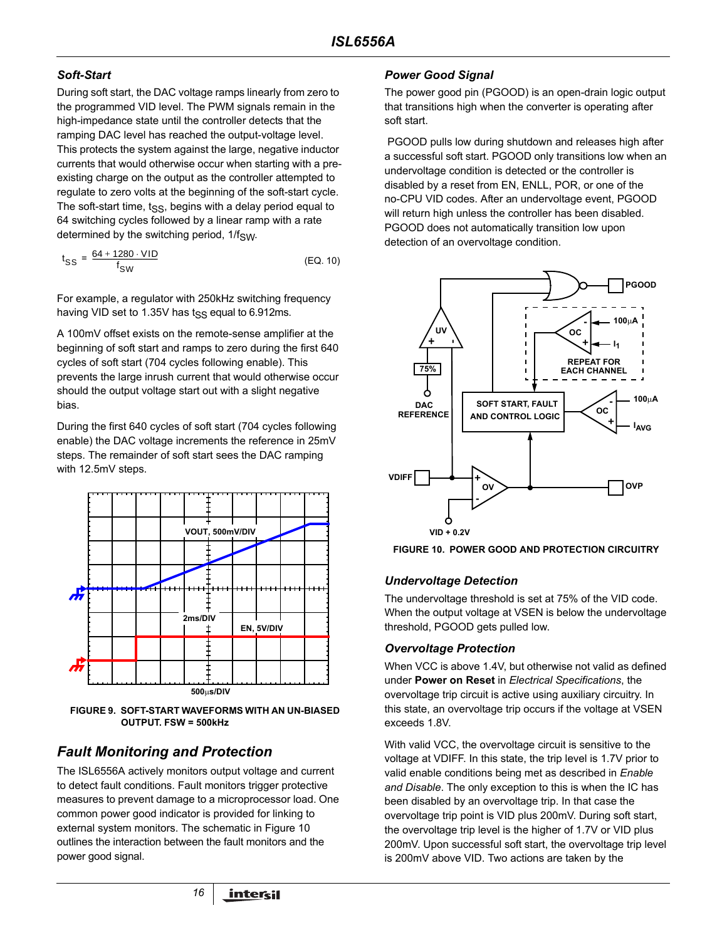## *Soft-Start*

During soft start, the DAC voltage ramps linearly from zero to the programmed VID level. The PWM signals remain in the high-impedance state until the controller detects that the ramping DAC level has reached the output-voltage level. This protects the system against the large, negative inductor currents that would otherwise occur when starting with a preexisting charge on the output as the controller attempted to regulate to zero volts at the beginning of the soft-start cycle. The soft-start time,  $t_{SS}$ , begins with a delay period equal to 64 switching cycles followed by a linear ramp with a rate determined by the switching period,  $1/f_{\text{SW}}$ .

$$
t_{SS} = \frac{64 + 1280 \cdot \text{VID}}{f_{SW}} \tag{EQ.10}
$$

For example, a regulator with 250kHz switching frequency having VID set to 1.35V has  $t_{SS}$  equal to 6.912ms.

A 100mV offset exists on the remote-sense amplifier at the beginning of soft start and ramps to zero during the first 640 cycles of soft start (704 cycles following enable). This prevents the large inrush current that would otherwise occur should the output voltage start out with a slight negative bias.

During the first 640 cycles of soft start (704 cycles following enable) the DAC voltage increments the reference in 25mV steps. The remainder of soft start sees the DAC ramping with 12.5mV steps.



**FIGURE 9. SOFT-START WAVEFORMS WITH AN UN-BIASED OUTPUT. FSW = 500kHz**

# *Fault Monitoring and Protection*

The ISL6556A actively monitors output voltage and current to detect fault conditions. Fault monitors trigger protective measures to prevent damage to a microprocessor load. One common power good indicator is provided for linking to external system monitors. The schematic in Figure 10 outlines the interaction between the fault monitors and the power good signal.

### *Power Good Signal*

The power good pin (PGOOD) is an open-drain logic output that transitions high when the converter is operating after soft start.

 PGOOD pulls low during shutdown and releases high after a successful soft start. PGOOD only transitions low when an undervoltage condition is detected or the controller is disabled by a reset from EN, ENLL, POR, or one of the no-CPU VID codes. After an undervoltage event, PGOOD will return high unless the controller has been disabled. PGOOD does not automatically transition low upon detection of an overvoltage condition.



**FIGURE 10. POWER GOOD AND PROTECTION CIRCUITRY**

#### *Undervoltage Detection*

The undervoltage threshold is set at 75% of the VID code. When the output voltage at VSEN is below the undervoltage threshold, PGOOD gets pulled low.

#### *Overvoltage Protection*

When VCC is above 1.4V, but otherwise not valid as defined under **Power on Reset** in *Electrical Specifications*, the overvoltage trip circuit is active using auxiliary circuitry. In this state, an overvoltage trip occurs if the voltage at VSEN exceeds 1.8V.

With valid VCC, the overvoltage circuit is sensitive to the voltage at VDIFF. In this state, the trip level is 1.7V prior to valid enable conditions being met as described in *Enable and Disable*. The only exception to this is when the IC has been disabled by an overvoltage trip. In that case the overvoltage trip point is VID plus 200mV. During soft start, the overvoltage trip level is the higher of 1.7V or VID plus 200mV. Upon successful soft start, the overvoltage trip level is 200mV above VID. Two actions are taken by the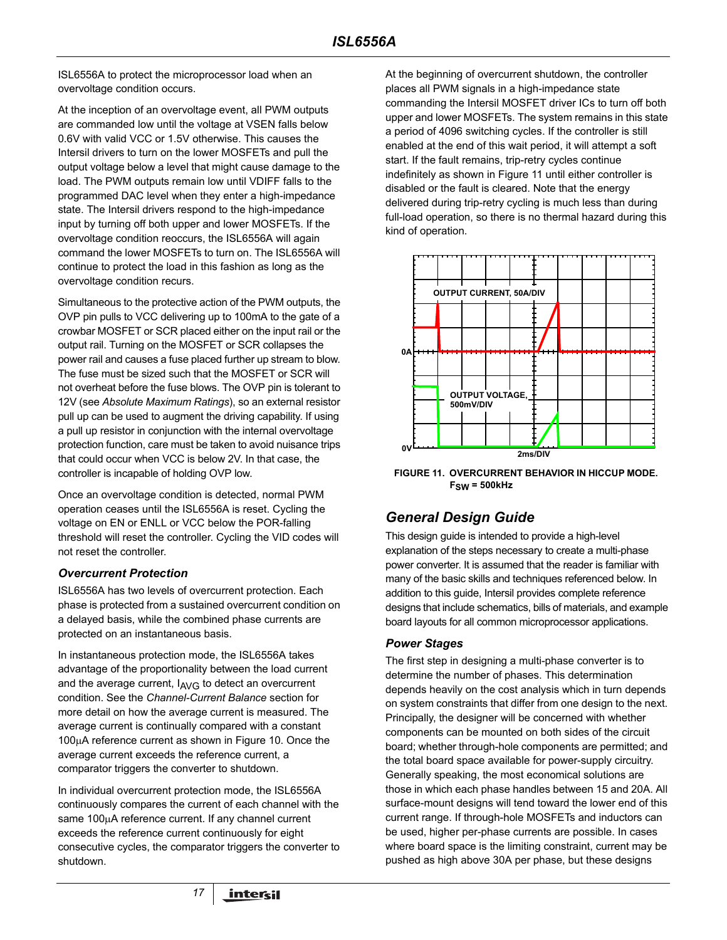ISL6556A to protect the microprocessor load when an overvoltage condition occurs.

At the inception of an overvoltage event, all PWM outputs are commanded low until the voltage at VSEN falls below 0.6V with valid VCC or 1.5V otherwise. This causes the Intersil drivers to turn on the lower MOSFETs and pull the output voltage below a level that might cause damage to the load. The PWM outputs remain low until VDIFF falls to the programmed DAC level when they enter a high-impedance state. The Intersil drivers respond to the high-impedance input by turning off both upper and lower MOSFETs. If the overvoltage condition reoccurs, the ISL6556A will again command the lower MOSFETs to turn on. The ISL6556A will continue to protect the load in this fashion as long as the overvoltage condition recurs.

Simultaneous to the protective action of the PWM outputs, the OVP pin pulls to VCC delivering up to 100mA to the gate of a crowbar MOSFET or SCR placed either on the input rail or the output rail. Turning on the MOSFET or SCR collapses the power rail and causes a fuse placed further up stream to blow. The fuse must be sized such that the MOSFET or SCR will not overheat before the fuse blows. The OVP pin is tolerant to 12V (see *Absolute Maximum Ratings*), so an external resistor pull up can be used to augment the driving capability. If using a pull up resistor in conjunction with the internal overvoltage protection function, care must be taken to avoid nuisance trips that could occur when VCC is below 2V. In that case, the controller is incapable of holding OVP low.

Once an overvoltage condition is detected, normal PWM operation ceases until the ISL6556A is reset. Cycling the voltage on EN or ENLL or VCC below the POR-falling threshold will reset the controller. Cycling the VID codes will not reset the controller.

#### *Overcurrent Protection*

ISL6556A has two levels of overcurrent protection. Each phase is protected from a sustained overcurrent condition on a delayed basis, while the combined phase currents are protected on an instantaneous basis.

In instantaneous protection mode, the ISL6556A takes advantage of the proportionality between the load current and the average current,  $I_{AVG}$  to detect an overcurrent condition. See the *Channel-Current Balance* section for more detail on how the average current is measured. The average current is continually compared with a constant 100µA reference current as shown in Figure 10. Once the average current exceeds the reference current, a comparator triggers the converter to shutdown.

In individual overcurrent protection mode, the ISL6556A continuously compares the current of each channel with the same 100µA reference current. If any channel current exceeds the reference current continuously for eight consecutive cycles, the comparator triggers the converter to shutdown.

*17*

At the beginning of overcurrent shutdown, the controller places all PWM signals in a high-impedance state commanding the Intersil MOSFET driver ICs to turn off both upper and lower MOSFETs. The system remains in this state a period of 4096 switching cycles. If the controller is still enabled at the end of this wait period, it will attempt a soft start. If the fault remains, trip-retry cycles continue indefinitely as shown in Figure 11 until either controller is disabled or the fault is cleared. Note that the energy delivered during trip-retry cycling is much less than during full-load operation, so there is no thermal hazard during this kind of operation.



**FIGURE 11. OVERCURRENT BEHAVIOR IN HICCUP MODE. FSW = 500kHz**

# *General Design Guide*

This design guide is intended to provide a high-level explanation of the steps necessary to create a multi-phase power converter. It is assumed that the reader is familiar with many of the basic skills and techniques referenced below. In addition to this guide, Intersil provides complete reference designs that include schematics, bills of materials, and example board layouts for all common microprocessor applications.

#### *Power Stages*

The first step in designing a multi-phase converter is to determine the number of phases. This determination depends heavily on the cost analysis which in turn depends on system constraints that differ from one design to the next. Principally, the designer will be concerned with whether components can be mounted on both sides of the circuit board; whether through-hole components are permitted; and the total board space available for power-supply circuitry. Generally speaking, the most economical solutions are those in which each phase handles between 15 and 20A. All surface-mount designs will tend toward the lower end of this current range. If through-hole MOSFETs and inductors can be used, higher per-phase currents are possible. In cases where board space is the limiting constraint, current may be pushed as high above 30A per phase, but these designs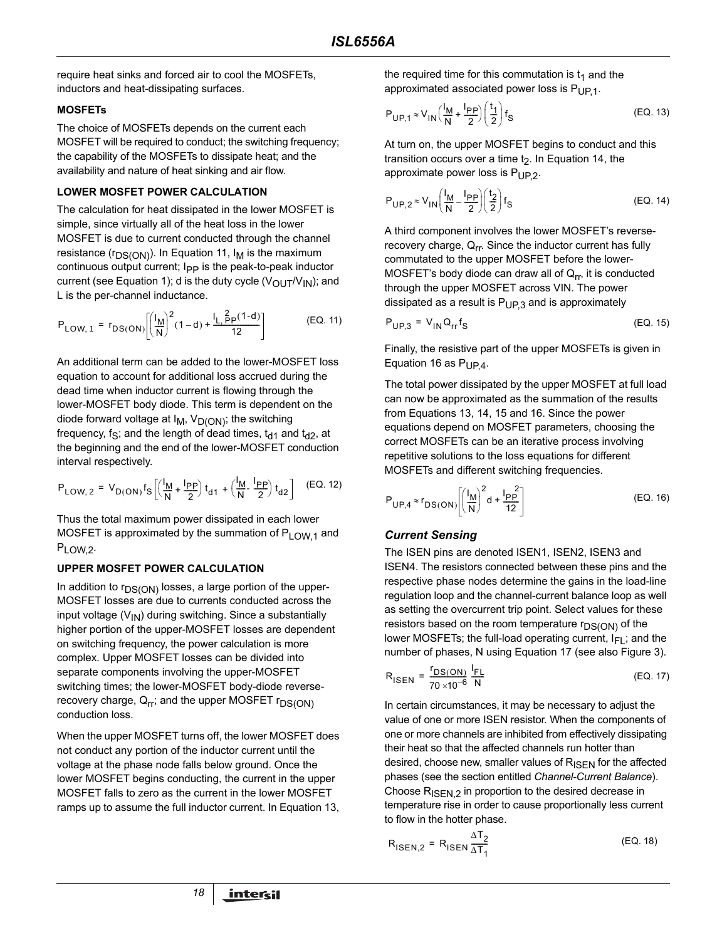require heat sinks and forced air to cool the MOSFETs, inductors and heat-dissipating surfaces.

#### **MOSFETs**

The choice of MOSFETs depends on the current each MOSFET will be required to conduct; the switching frequency; the capability of the MOSFETs to dissipate heat; and the availability and nature of heat sinking and air flow.

#### **LOWER MOSFET POWER CALCULATION**

The calculation for heat dissipated in the lower MOSFET is simple, since virtually all of the heat loss in the lower MOSFET is due to current conducted through the channel resistance ( $r_{DS(ON)}$ ). In Equation 11,  $I_M$  is the maximum continuous output current; I<sub>PP</sub> is the peak-to-peak inductor current (see Equation 1); d is the duty cycle ( $V_{\text{OUT}}/V_{\text{IN}}$ ); and L is the per-channel inductance.

$$
P_{LOW, 1} = r_{DS(ON)} \left[ \left( \frac{I_M}{N} \right)^2 (1 - d) + \frac{I_L \frac{2}{r} p(1 - d)}{12} \right]
$$
 (EQ. 11)

An additional term can be added to the lower-MOSFET loss equation to account for additional loss accrued during the dead time when inductor current is flowing through the lower-MOSFET body diode. This term is dependent on the diode forward voltage at  $I_M$ ,  $V_{D(ON)}$ ; the switching frequency, f<sub>S</sub>; and the length of dead times,  $t_{d1}$  and  $t_{d2}$ , at the beginning and the end of the lower-MOSFET conduction interval respectively.

$$
P_{LOW, 2} = V_{D(ON)} f_S \left[ \left( \frac{l_M}{N} + \frac{l_{PP}}{2} \right) t_{d1} + \left( \frac{l_M}{N} - \frac{l_{PP}}{2} \right) t_{d2} \right] (EQ. 12)
$$

Thus the total maximum power dissipated in each lower MOSFET is approximated by the summation of P<sub>LOW.1</sub> and PLOW,2.

#### **UPPER MOSFET POWER CALCULATION**

In addition to  $r_{DS(ON)}$  losses, a large portion of the upper-MOSFET losses are due to currents conducted across the input voltage  $(V_{1N})$  during switching. Since a substantially higher portion of the upper-MOSFET losses are dependent on switching frequency, the power calculation is more complex. Upper MOSFET losses can be divided into separate components involving the upper-MOSFET switching times; the lower-MOSFET body-diode reverserecovery charge,  $Q_{rr}$ ; and the upper MOSFET  $r_{DS(ON)}$ conduction loss.

When the upper MOSFET turns off, the lower MOSFET does not conduct any portion of the inductor current until the voltage at the phase node falls below ground. Once the lower MOSFET begins conducting, the current in the upper MOSFET falls to zero as the current in the lower MOSFET ramps up to assume the full inductor current. In Equation 13,

*18*

the required time for this commutation is  $t_1$  and the approximated associated power loss is  $P_{UP,1}$ .

$$
P_{\text{UP},1} \approx V_{\text{IN}} \left( \frac{I_{\text{M}}}{N} + \frac{I_{\text{PP}}}{2} \right) \left( \frac{t_1}{2} \right) f_{\text{S}}
$$
 (EQ. 13)

At turn on, the upper MOSFET begins to conduct and this transition occurs over a time  $t<sub>2</sub>$ . In Equation 14, the approximate power loss is  $P_{UP,2}$ .

$$
P_{\text{UP},2} \approx V_{\text{IN}} \left( \frac{I_{\text{M}}}{\text{N}} - \frac{I_{\text{PP}}}{2} \right) \left( \frac{t_2}{2} \right) f_{\text{S}}
$$
\n(EQ. 14)

A third component involves the lower MOSFET's reverserecovery charge,  $Q_{rr}$ . Since the inductor current has fully commutated to the upper MOSFET before the lower-MOSFET's body diode can draw all of  $Q_{rr}$ , it is conducted through the upper MOSFET across VIN. The power dissipated as a result is  $P_{UP,3}$  and is approximately

$$
P_{UP,3} = V_{IN} Q_{rr} f_S
$$
 (EQ. 15)

Finally, the resistive part of the upper MOSFETs is given in Equation 16 as  $P_{UP4}$ .

The total power dissipated by the upper MOSFET at full load can now be approximated as the summation of the results from Equations 13, 14, 15 and 16. Since the power equations depend on MOSFET parameters, choosing the correct MOSFETs can be an iterative process involving repetitive solutions to the loss equations for different MOSFETs and different switching frequencies.

$$
P_{UP,4} \approx r_{DS(ON)} \left[ \left( \frac{I_M}{N} \right)^2 d + \frac{I_{PP}^2}{12} \right]
$$
 (EQ. 16)

## *Current Sensing*

The ISEN pins are denoted ISEN1, ISEN2, ISEN3 and ISEN4. The resistors connected between these pins and the respective phase nodes determine the gains in the load-line regulation loop and the channel-current balance loop as well as setting the overcurrent trip point. Select values for these resistors based on the room temperature  $r_{DS(ON)}$  of the lower MOSFETs; the full-load operating current,  $I_{FI}$ ; and the number of phases, N using Equation 17 (see also Figure 3).

$$
R_{\text{ISEN}} = \frac{r_{\text{DS}(\text{ON})}}{70 \times 10^{-6}} \frac{I_{\text{FL}}}{N}
$$
 (EQ. 17)

In certain circumstances, it may be necessary to adjust the value of one or more ISEN resistor. When the components of one or more channels are inhibited from effectively dissipating their heat so that the affected channels run hotter than desired, choose new, smaller values of R<sub>ISEN</sub> for the affected phases (see the section entitled *Channel-Current Balance*). Choose  $R_{\text{ISFN}}$  *i*n proportion to the desired decrease in temperature rise in order to cause proportionally less current to flow in the hotter phase.

$$
R_{\text{ISEN},2} = R_{\text{ISEN}} \frac{\Delta T_2}{\Delta T_1}
$$
 (EQ. 18)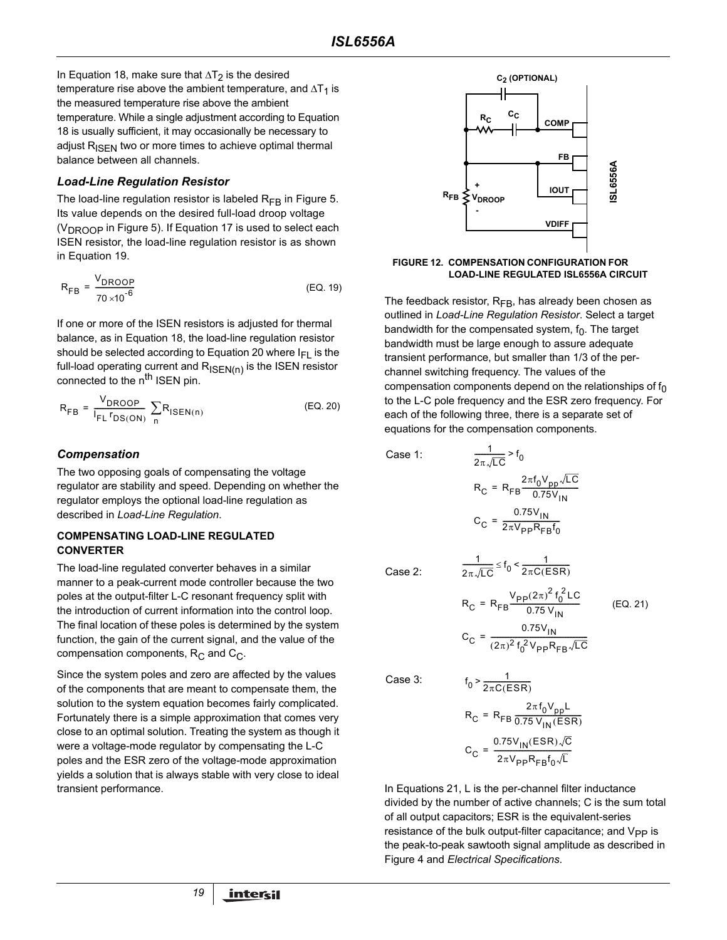In Equation 18, make sure that  $\Delta T_2$  is the desired temperature rise above the ambient temperature, and  $\Delta T_1$  is the measured temperature rise above the ambient temperature. While a single adjustment according to Equation 18 is usually sufficient, it may occasionally be necessary to adjust  $R_{\text{ISFN}}$  two or more times to achieve optimal thermal balance between all channels.

#### *Load-Line Regulation Resistor*

The load-line regulation resistor is labeled  $R_{FB}$  in Figure 5. Its value depends on the desired full-load droop voltage  $(V_{DROOP}$  in Figure 5). If Equation 17 is used to select each ISEN resistor, the load-line regulation resistor is as shown in Equation 19.

$$
R_{FB} = \frac{V_{DROOP}}{70 \times 10^{-6}}
$$
 (EQ. 19)

If one or more of the ISEN resistors is adjusted for thermal balance, as in Equation 18, the load-line regulation resistor should be selected according to Equation 20 where  $I_{FL}$  is the full-load operating current and  $R_{\text{ISEN}(n)}$  is the ISEN resistor connected to the n<sup>th</sup> ISEN pin.

$$
R_{FB} = \frac{V_{DROOP}}{I_{FL} I_{DS(ON)}} \sum_{n} R_{ISEN(n)}
$$
 (EQ. 20)

#### *Compensation*

The two opposing goals of compensating the voltage regulator are stability and speed. Depending on whether the regulator employs the optional load-line regulation as described in *Load-Line Regulation*.

#### **COMPENSATING LOAD-LINE REGULATED CONVERTER**

The load-line regulated converter behaves in a similar manner to a peak-current mode controller because the two poles at the output-filter L-C resonant frequency split with the introduction of current information into the control loop. The final location of these poles is determined by the system function, the gain of the current signal, and the value of the compensation components,  $R_C$  and  $C_C$ .

Since the system poles and zero are affected by the values of the components that are meant to compensate them, the solution to the system equation becomes fairly complicated. Fortunately there is a simple approximation that comes very close to an optimal solution. Treating the system as though it were a voltage-mode regulator by compensating the L-C poles and the ESR zero of the voltage-mode approximation yields a solution that is always stable with very close to ideal transient performance.

*19*



# **FIGURE 12. COMPENSATION CONFIGURATION FOR**

The feedback resistor,  $R_{FB}$ , has already been chosen as outlined in *Load-Line Regulation Resistor*. Select a target bandwidth for the compensated system,  $f_0$ . The target bandwidth must be large enough to assure adequate transient performance, but smaller than 1/3 of the perchannel switching frequency. The values of the compensation components depend on the relationships of  $f_0$ to the L-C pole frequency and the ESR zero frequency. For each of the following three, there is a separate set of equations for the compensation components.

Case 1:

$$
R_C = R_{FB} \frac{2\pi f_0 V_{pp} \sqrt{LC}}{0.75 V_{IN}}
$$

$$
C_C = \frac{0.75 V_{IN}}{2\pi V_{pp} R_{FB} f_0}
$$

1  $\frac{1}{2\pi\sqrt{LC}}$  > f<sub>0</sub>

Case 2:

$$
\frac{1}{2\pi\sqrt{LC}} \le f_0 < \frac{1}{2\pi C(ESR)}
$$
\n
$$
R_C = R_{FB} \frac{V_{PP}(2\pi)^2 f_0^2 LC}{0.75 V_{IN}} \qquad (EQ. 21)
$$
\n
$$
C_C = \frac{0.75 V_{IN}}{(2\pi)^2 f_0^2 V_{PP} R_{FB} \sqrt{LC}}
$$

Case 3:

$$
f_0 > \frac{1}{2\pi C (ESR)}
$$
  
\n
$$
R_C = R_{FB} \frac{2\pi f_0 V_{pp} L}{0.75 V_{IN} (ESR)}
$$
  
\n
$$
C_C = \frac{0.75 V_{IN} (ESR) \sqrt{C}}{2\pi V_{pp} R_{FB} f_0 \sqrt{L}}
$$

1

In Equations 21, L is the per-channel filter inductance divided by the number of active channels; C is the sum total of all output capacitors; ESR is the equivalent-series resistance of the bulk output-filter capacitance; and  $V_{PP}$  is the peak-to-peak sawtooth signal amplitude as described in Figure 4 and *Electrical Specifications*.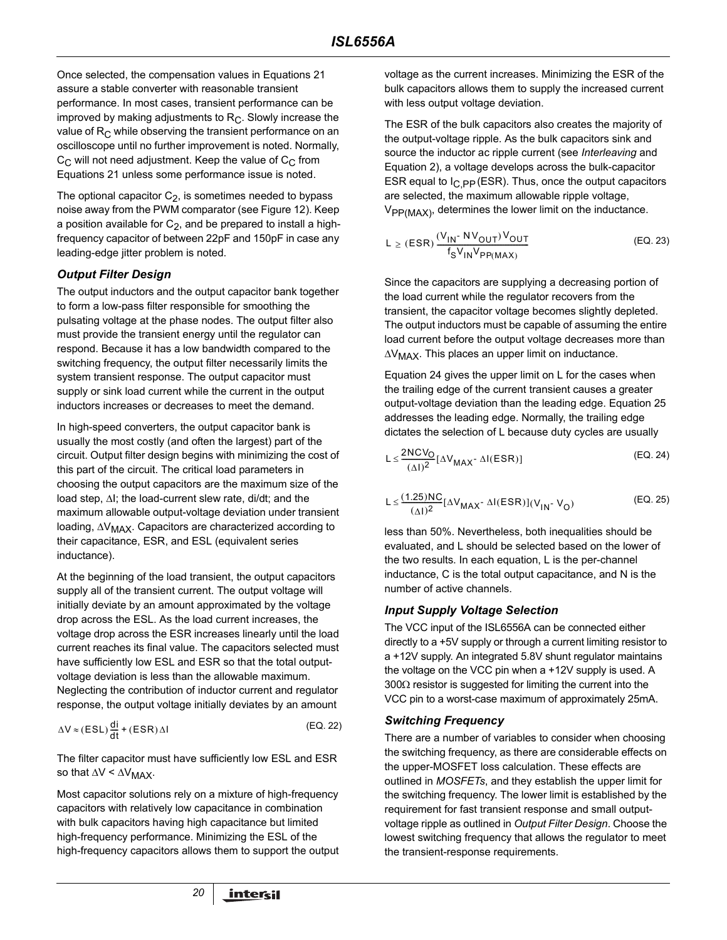Once selected, the compensation values in Equations 21 assure a stable converter with reasonable transient performance. In most cases, transient performance can be improved by making adjustments to  $R<sub>C</sub>$ . Slowly increase the value of  $R<sub>C</sub>$  while observing the transient performance on an oscilloscope until no further improvement is noted. Normally,  $C_{\text{C}}$  will not need adjustment. Keep the value of  $C_{\text{C}}$  from Equations 21 unless some performance issue is noted.

The optional capacitor  $C_2$ , is sometimes needed to bypass noise away from the PWM comparator (see Figure 12). Keep a position available for  $C_2$ , and be prepared to install a highfrequency capacitor of between 22pF and 150pF in case any leading-edge jitter problem is noted.

#### *Output Filter Design*

The output inductors and the output capacitor bank together to form a low-pass filter responsible for smoothing the pulsating voltage at the phase nodes. The output filter also must provide the transient energy until the regulator can respond. Because it has a low bandwidth compared to the switching frequency, the output filter necessarily limits the system transient response. The output capacitor must supply or sink load current while the current in the output inductors increases or decreases to meet the demand.

In high-speed converters, the output capacitor bank is usually the most costly (and often the largest) part of the circuit. Output filter design begins with minimizing the cost of this part of the circuit. The critical load parameters in choosing the output capacitors are the maximum size of the load step, ∆I; the load-current slew rate, di/dt; and the maximum allowable output-voltage deviation under transient loading, ∆V<sub>MAX</sub>. Capacitors are characterized according to their capacitance, ESR, and ESL (equivalent series inductance).

At the beginning of the load transient, the output capacitors supply all of the transient current. The output voltage will initially deviate by an amount approximated by the voltage drop across the ESL. As the load current increases, the voltage drop across the ESR increases linearly until the load current reaches its final value. The capacitors selected must have sufficiently low ESL and ESR so that the total outputvoltage deviation is less than the allowable maximum. Neglecting the contribution of inductor current and regulator response, the output voltage initially deviates by an amount

$$
\Delta V \approx (ESL) \frac{di}{dt} + (ESR) \Delta I
$$
 (EQ. 22)

The filter capacitor must have sufficiently low ESL and ESR so that  $\Delta V \leq \Delta V_{MAX}$ .

Most capacitor solutions rely on a mixture of high-frequency capacitors with relatively low capacitance in combination with bulk capacitors having high capacitance but limited high-frequency performance. Minimizing the ESL of the high-frequency capacitors allows them to support the output voltage as the current increases. Minimizing the ESR of the bulk capacitors allows them to supply the increased current with less output voltage deviation.

The ESR of the bulk capacitors also creates the majority of the output-voltage ripple. As the bulk capacitors sink and source the inductor ac ripple current (see *Interleaving* and Equation 2), a voltage develops across the bulk-capacitor ESR equal to  $I_{C,PP}$  (ESR). Thus, once the output capacitors are selected, the maximum allowable ripple voltage,  $V_{PP(MAX)}$ , determines the lower limit on the inductance.

$$
L \geq (ESR) \frac{(V_{IN} \cdot N V_{OUT}) V_{OUT}}{f_S V_{IN} V_{PP(MAX)}}
$$
 (EQ. 23)

Since the capacitors are supplying a decreasing portion of the load current while the regulator recovers from the transient, the capacitor voltage becomes slightly depleted. The output inductors must be capable of assuming the entire load current before the output voltage decreases more than ∆V<sub>MAX</sub>. This places an upper limit on inductance.

Equation 24 gives the upper limit on L for the cases when the trailing edge of the current transient causes a greater output-voltage deviation than the leading edge. Equation 25 addresses the leading edge. Normally, the trailing edge dictates the selection of L because duty cycles are usually

$$
L \leq \frac{2NCV_O}{(\Delta I)^2} [\Delta V_{MAX} - \Delta I(ESR)]
$$
 (EQ. 24)

$$
L \leq \frac{(1.25)NC}{(\Delta I)^2} [\Delta V_{MAX} \cdot \Delta I(ESR)](V_{1N} \cdot V_{O})
$$
 (EQ. 25)

less than 50%. Nevertheless, both inequalities should be evaluated, and L should be selected based on the lower of the two results. In each equation, L is the per-channel inductance, C is the total output capacitance, and N is the number of active channels.

#### *Input Supply Voltage Selection*

The VCC input of the ISL6556A can be connected either directly to a +5V supply or through a current limiting resistor to a +12V supply. An integrated 5.8V shunt regulator maintains the voltage on the VCC pin when a +12V supply is used. A 300 $\Omega$  resistor is suggested for limiting the current into the VCC pin to a worst-case maximum of approximately 25mA.

#### *Switching Frequency*

There are a number of variables to consider when choosing the switching frequency, as there are considerable effects on the upper-MOSFET loss calculation. These effects are outlined in *MOSFETs*, and they establish the upper limit for the switching frequency. The lower limit is established by the requirement for fast transient response and small outputvoltage ripple as outlined in *Output Filter Design*. Choose the lowest switching frequency that allows the regulator to meet the transient-response requirements.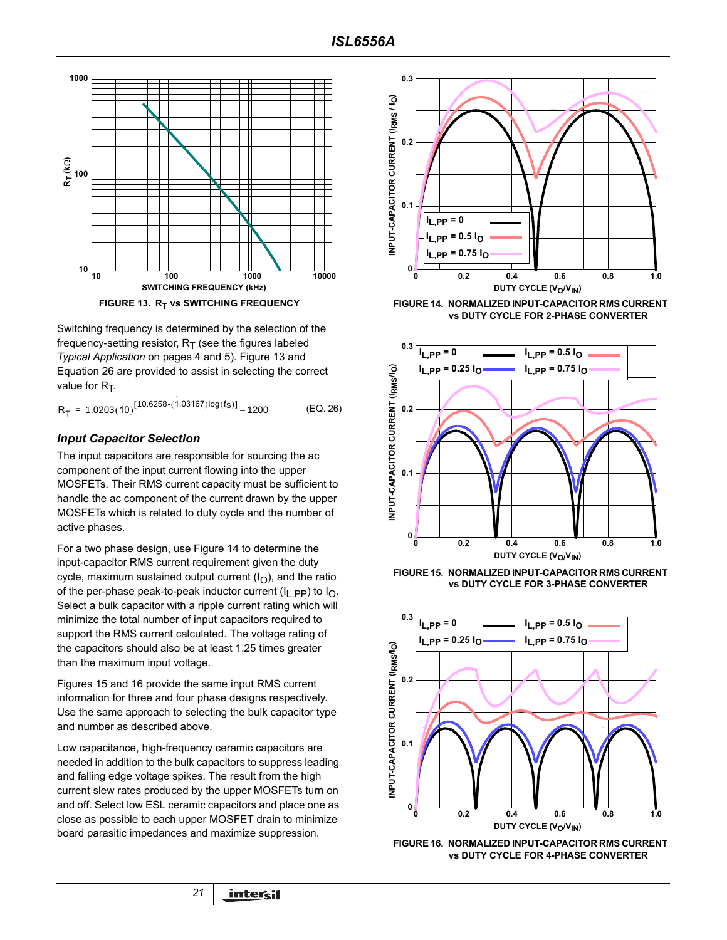

<span id="page-20-0"></span>Switching frequency is determined by the selection of the frequency-setting resistor,  $R_T$  (see the figures labeled *Typical Application* on pages 4 and 5). Figure 13 and Equation 26 are provided to assist in selecting the correct value for  $R_T$ .

 $R_T = 1.0203(10)^{[10.6258 \cdot (1.03167) \log(f_S)]} - 1200$  $= 1.0203(10)^{10.0230}$  (1.03107)log(1S)  $= 1200$  (EQ. 26)

#### *Input Capacitor Selection*

The input capacitors are responsible for sourcing the ac component of the input current flowing into the upper MOSFETs. Their RMS current capacity must be sufficient to handle the ac component of the current drawn by the upper MOSFETs which is related to duty cycle and the number of active phases.

For a two phase design, use Figure 14 to determine the input-capacitor RMS current requirement given the duty cycle, maximum sustained output current  $(I<sub>O</sub>)$ , and the ratio of the per-phase peak-to-peak inductor current ( $I_{\text{L}}$ , pp) to  $I_{\text{O}}$ . Select a bulk capacitor with a ripple current rating which will minimize the total number of input capacitors required to support the RMS current calculated. The voltage rating of the capacitors should also be at least 1.25 times greater than the maximum input voltage.

Figures 15 and 16 provide the same input RMS current information for three and four phase designs respectively. Use the same approach to selecting the bulk capacitor type and number as described above.

Low capacitance, high-frequency ceramic capacitors are needed in addition to the bulk capacitors to suppress leading and falling edge voltage spikes. The result from the high current slew rates produced by the upper MOSFETs turn on and off. Select low ESL ceramic capacitors and place one as close as possible to each upper MOSFET drain to minimize board parasitic impedances and maximize suppression.

*21*



**FIGURE 14. NORMALIZED INPUT-CAPACITOR RMS CURRENT vs DUTY CYCLE FOR 2-PHASE CONVERTER**



**FIGURE 15. NORMALIZED INPUT-CAPACITOR RMS CURRENT vs DUTY CYCLE FOR 3-PHASE CONVERTER**



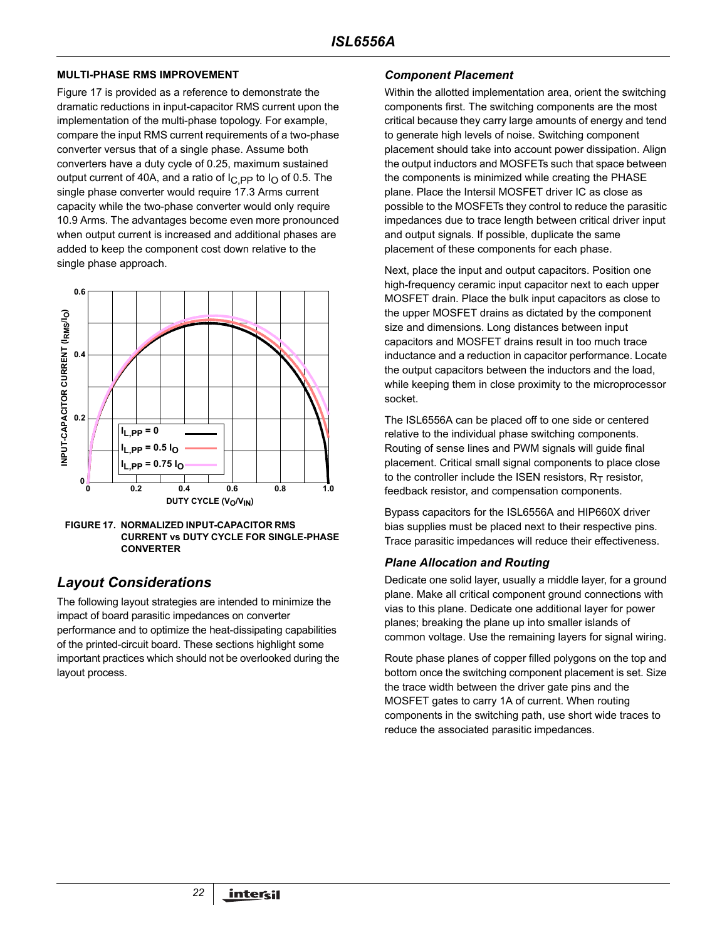#### **MULTI-PHASE RMS IMPROVEMENT**

Figure 17 is provided as a reference to demonstrate the dramatic reductions in input-capacitor RMS current upon the implementation of the multi-phase topology. For example, compare the input RMS current requirements of a two-phase converter versus that of a single phase. Assume both converters have a duty cycle of 0.25, maximum sustained output current of 40A, and a ratio of  $I<sub>C</sub>$  pp to  $I<sub>O</sub>$  of 0.5. The single phase converter would require 17.3 Arms current capacity while the two-phase converter would only require 10.9 Arms. The advantages become even more pronounced when output current is increased and additional phases are added to keep the component cost down relative to the single phase approach.



**FIGURE 17. NORMALIZED INPUT-CAPACITOR RMS CURRENT vs DUTY CYCLE FOR SINGLE-PHASE CONVERTER**

# *Layout Considerations*

The following layout strategies are intended to minimize the impact of board parasitic impedances on converter performance and to optimize the heat-dissipating capabilities of the printed-circuit board. These sections highlight some important practices which should not be overlooked during the layout process.

### *Component Placement*

Within the allotted implementation area, orient the switching components first. The switching components are the most critical because they carry large amounts of energy and tend to generate high levels of noise. Switching component placement should take into account power dissipation. Align the output inductors and MOSFETs such that space between the components is minimized while creating the PHASE plane. Place the Intersil MOSFET driver IC as close as possible to the MOSFETs they control to reduce the parasitic impedances due to trace length between critical driver input and output signals. If possible, duplicate the same placement of these components for each phase.

Next, place the input and output capacitors. Position one high-frequency ceramic input capacitor next to each upper MOSFET drain. Place the bulk input capacitors as close to the upper MOSFET drains as dictated by the component size and dimensions. Long distances between input capacitors and MOSFET drains result in too much trace inductance and a reduction in capacitor performance. Locate the output capacitors between the inductors and the load, while keeping them in close proximity to the microprocessor socket.

The ISL6556A can be placed off to one side or centered relative to the individual phase switching components. Routing of sense lines and PWM signals will guide final placement. Critical small signal components to place close to the controller include the ISEN resistors,  $R_T$  resistor, feedback resistor, and compensation components.

Bypass capacitors for the ISL6556A and HIP660X driver bias supplies must be placed next to their respective pins. Trace parasitic impedances will reduce their effectiveness.

## *Plane Allocation and Routing*

Dedicate one solid layer, usually a middle layer, for a ground plane. Make all critical component ground connections with vias to this plane. Dedicate one additional layer for power planes; breaking the plane up into smaller islands of common voltage. Use the remaining layers for signal wiring.

Route phase planes of copper filled polygons on the top and bottom once the switching component placement is set. Size the trace width between the driver gate pins and the MOSFET gates to carry 1A of current. When routing components in the switching path, use short wide traces to reduce the associated parasitic impedances.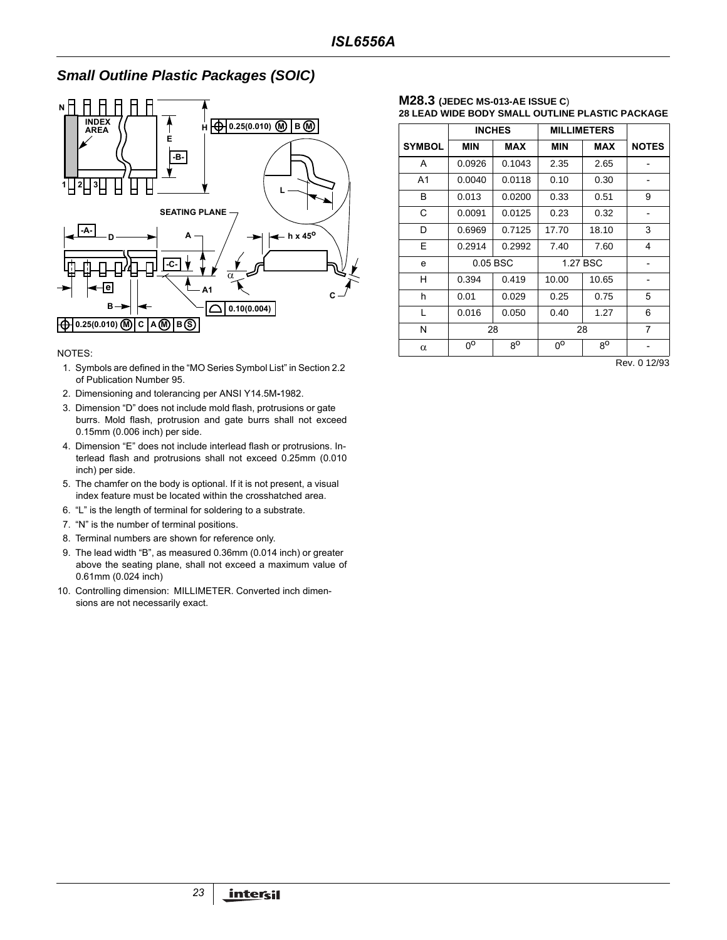# **Small Outline Plastic Packages (SOIC)**



#### NOTES:

- 1. Symbols are defined in the "MO Series Symbol List" in Section 2.2 of Publication Number 95.
- 2. Dimensioning and tolerancing per ANSI Y14.5M**-**1982.
- 3. Dimension "D" does not include mold flash, protrusions or gate burrs. Mold flash, protrusion and gate burrs shall not exceed 0.15mm (0.006 inch) per side.
- 4. Dimension "E" does not include interlead flash or protrusions. Interlead flash and protrusions shall not exceed 0.25mm (0.010 inch) per side.
- 5. The chamfer on the body is optional. If it is not present, a visual index feature must be located within the crosshatched area.
- 6. "L" is the length of terminal for soldering to a substrate.
- 7. "N" is the number of terminal positions.
- 8. Terminal numbers are shown for reference only.
- 9. The lead width "B", as measured 0.36mm (0.014 inch) or greater above the seating plane, shall not exceed a maximum value of 0.61mm (0.024 inch)
- 10. Controlling dimension: MILLIMETER. Converted inch dimensions are not necessarily exact.

#### **M28.3 (JEDEC MS-013-AE ISSUE C**) **28 LEAD WIDE BODY SMALL OUTLINE PLASTIC PACKAGE**

|                | <b>INCHES</b> |             | <b>MILLIMETERS</b> |             |              |
|----------------|---------------|-------------|--------------------|-------------|--------------|
| <b>SYMBOL</b>  | <b>MIN</b>    | <b>MAX</b>  | <b>MIN</b>         | <b>MAX</b>  | <b>NOTES</b> |
| A              | 0.0926        | 0.1043      | 2.35               | 2.65        |              |
| A <sub>1</sub> | 0.0040        | 0.0118      | 0.10               | 0.30        |              |
| B              | 0.013         | 0.0200      | 0.33               | 0.51        | 9            |
| C              | 0.0091        | 0.0125      | 0.23               | 0.32        |              |
| D              | 0.6969        | 0.7125      | 17.70              | 18.10       | 3            |
| E              | 0.2914        | 0.2992      | 7.40               | 7.60        | 4            |
| e              |               | 0.05 BSC    |                    | 1.27 BSC    |              |
| н              | 0.394         | 0.419       | 10.00              | 10.65       |              |
| h              | 0.01          | 0.029       | 0.25               | 0.75        | 5            |
| L              | 0.016         | 0.050       | 0.40               | 1.27        | 6            |
| N              |               | 28          | 28                 |             | 7            |
| $\alpha$       | $0^{\circ}$   | $8^{\circ}$ | 0°                 | $8^{\circ}$ |              |

Rev. 0 12/93